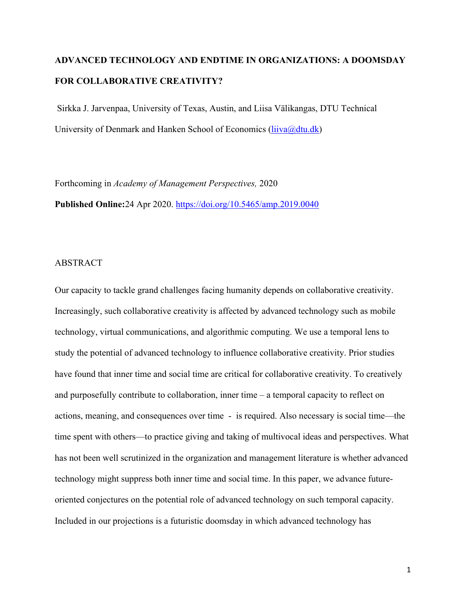# **ADVANCED TECHNOLOGY AND ENDTIME IN ORGANIZATIONS: A DOOMSDAY FOR COLLABORATIVE CREATIVITY?**

Sirkka J. Jarvenpaa, University of Texas, Austin, and Liisa Välikangas, DTU Technical University of Denmark and Hanken School of Economics (*liiva@dtu.dk*)

Forthcoming in *Academy of Management Perspectives,* 2020

**Published Online:**24 Apr 2020. https://doi.org/10.5465/amp.2019.0040

## ABSTRACT

Our capacity to tackle grand challenges facing humanity depends on collaborative creativity. Increasingly, such collaborative creativity is affected by advanced technology such as mobile technology, virtual communications, and algorithmic computing. We use a temporal lens to study the potential of advanced technology to influence collaborative creativity. Prior studies have found that inner time and social time are critical for collaborative creativity. To creatively and purposefully contribute to collaboration, inner time – a temporal capacity to reflect on actions, meaning, and consequences over time - is required. Also necessary is social time—the time spent with others—to practice giving and taking of multivocal ideas and perspectives. What has not been well scrutinized in the organization and management literature is whether advanced technology might suppress both inner time and social time. In this paper, we advance futureoriented conjectures on the potential role of advanced technology on such temporal capacity. Included in our projections is a futuristic doomsday in which advanced technology has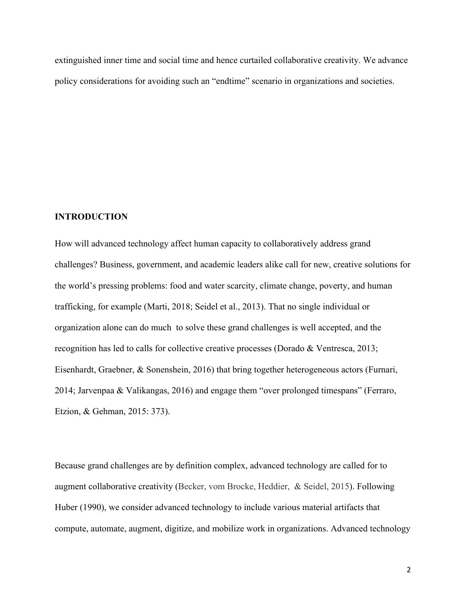extinguished inner time and social time and hence curtailed collaborative creativity. We advance policy considerations for avoiding such an "endtime" scenario in organizations and societies.

#### **INTRODUCTION**

How will advanced technology affect human capacity to collaboratively address grand challenges? Business, government, and academic leaders alike call for new, creative solutions for the world's pressing problems: food and water scarcity, climate change, poverty, and human trafficking, for example (Marti, 2018; Seidel et al., 2013). That no single individual or organization alone can do much to solve these grand challenges is well accepted, and the recognition has led to calls for collective creative processes (Dorado & Ventresca, 2013; Eisenhardt, Graebner, & Sonenshein, 2016) that bring together heterogeneous actors (Furnari, 2014; Jarvenpaa & Valikangas, 2016) and engage them "over prolonged timespans" (Ferraro, Etzion, & Gehman, 2015: 373).

Because grand challenges are by definition complex, advanced technology are called for to augment collaborative creativity (Becker, vom Brocke, Heddier, & Seidel, 2015). Following Huber (1990), we consider advanced technology to include various material artifacts that compute, automate, augment, digitize, and mobilize work in organizations. Advanced technology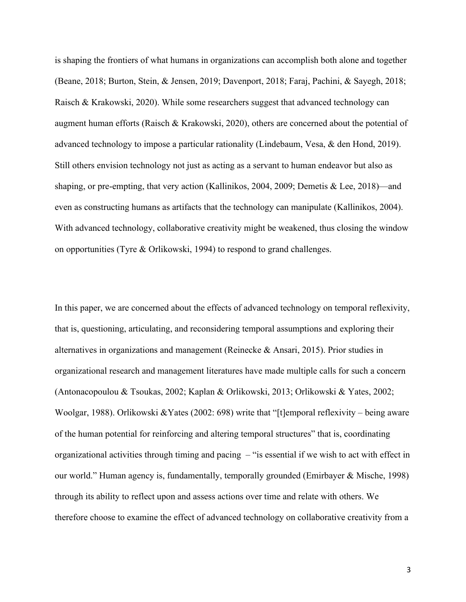is shaping the frontiers of what humans in organizations can accomplish both alone and together (Beane, 2018; Burton, Stein, & Jensen, 2019; Davenport, 2018; Faraj, Pachini, & Sayegh, 2018; Raisch & Krakowski, 2020). While some researchers suggest that advanced technology can augment human efforts (Raisch & Krakowski, 2020), others are concerned about the potential of advanced technology to impose a particular rationality (Lindebaum, Vesa, & den Hond, 2019). Still others envision technology not just as acting as a servant to human endeavor but also as shaping, or pre-empting, that very action (Kallinikos, 2004, 2009; Demetis & Lee, 2018)—and even as constructing humans as artifacts that the technology can manipulate (Kallinikos, 2004). With advanced technology, collaborative creativity might be weakened, thus closing the window on opportunities (Tyre & Orlikowski, 1994) to respond to grand challenges.

In this paper, we are concerned about the effects of advanced technology on temporal reflexivity, that is, questioning, articulating, and reconsidering temporal assumptions and exploring their alternatives in organizations and management (Reinecke & Ansari, 2015). Prior studies in organizational research and management literatures have made multiple calls for such a concern (Antonacopoulou & Tsoukas, 2002; Kaplan & Orlikowski, 2013; Orlikowski & Yates, 2002; Woolgar, 1988). Orlikowski &Yates (2002: 698) write that "[t]emporal reflexivity – being aware of the human potential for reinforcing and altering temporal structures" that is, coordinating organizational activities through timing and pacing – "is essential if we wish to act with effect in our world." Human agency is, fundamentally, temporally grounded (Emirbayer & Mische, 1998) through its ability to reflect upon and assess actions over time and relate with others. We therefore choose to examine the effect of advanced technology on collaborative creativity from a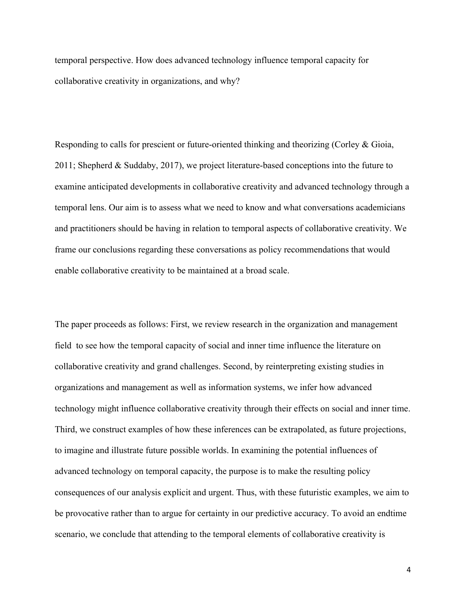temporal perspective. How does advanced technology influence temporal capacity for collaborative creativity in organizations, and why?

Responding to calls for prescient or future-oriented thinking and theorizing (Corley & Gioia, 2011; Shepherd & Suddaby, 2017), we project literature-based conceptions into the future to examine anticipated developments in collaborative creativity and advanced technology through a temporal lens. Our aim is to assess what we need to know and what conversations academicians and practitioners should be having in relation to temporal aspects of collaborative creativity. We frame our conclusions regarding these conversations as policy recommendations that would enable collaborative creativity to be maintained at a broad scale.

The paper proceeds as follows: First, we review research in the organization and management field to see how the temporal capacity of social and inner time influence the literature on collaborative creativity and grand challenges. Second, by reinterpreting existing studies in organizations and management as well as information systems, we infer how advanced technology might influence collaborative creativity through their effects on social and inner time. Third, we construct examples of how these inferences can be extrapolated, as future projections, to imagine and illustrate future possible worlds. In examining the potential influences of advanced technology on temporal capacity, the purpose is to make the resulting policy consequences of our analysis explicit and urgent. Thus, with these futuristic examples, we aim to be provocative rather than to argue for certainty in our predictive accuracy. To avoid an endtime scenario, we conclude that attending to the temporal elements of collaborative creativity is

4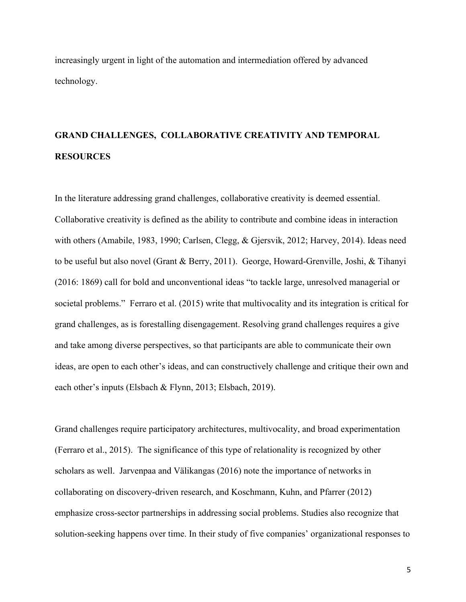increasingly urgent in light of the automation and intermediation offered by advanced technology.

# **GRAND CHALLENGES, COLLABORATIVE CREATIVITY AND TEMPORAL RESOURCES**

In the literature addressing grand challenges, collaborative creativity is deemed essential. Collaborative creativity is defined as the ability to contribute and combine ideas in interaction with others (Amabile, 1983, 1990; Carlsen, Clegg, & Gjersvik, 2012; Harvey, 2014). Ideas need to be useful but also novel (Grant & Berry, 2011). George, Howard-Grenville, Joshi, & Tihanyi (2016: 1869) call for bold and unconventional ideas "to tackle large, unresolved managerial or societal problems." Ferraro et al. (2015) write that multivocality and its integration is critical for grand challenges, as is forestalling disengagement. Resolving grand challenges requires a give and take among diverse perspectives, so that participants are able to communicate their own ideas, are open to each other's ideas, and can constructively challenge and critique their own and each other's inputs (Elsbach & Flynn, 2013; Elsbach, 2019).

Grand challenges require participatory architectures, multivocality, and broad experimentation (Ferraro et al., 2015). The significance of this type of relationality is recognized by other scholars as well. Jarvenpaa and Välikangas (2016) note the importance of networks in collaborating on discovery-driven research, and Koschmann, Kuhn, and Pfarrer (2012) emphasize cross-sector partnerships in addressing social problems. Studies also recognize that solution-seeking happens over time. In their study of five companies' organizational responses to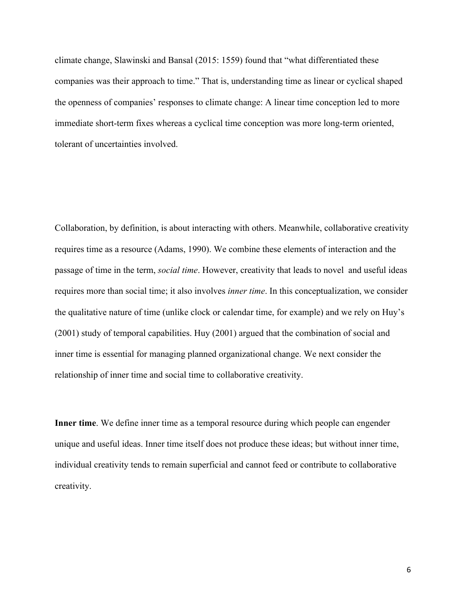climate change, Slawinski and Bansal (2015: 1559) found that "what differentiated these companies was their approach to time." That is, understanding time as linear or cyclical shaped the openness of companies' responses to climate change: A linear time conception led to more immediate short-term fixes whereas a cyclical time conception was more long-term oriented, tolerant of uncertainties involved.

Collaboration, by definition, is about interacting with others. Meanwhile, collaborative creativity requires time as a resource (Adams, 1990). We combine these elements of interaction and the passage of time in the term, *social time*. However, creativity that leads to novel and useful ideas requires more than social time; it also involves *inner time*. In this conceptualization, we consider the qualitative nature of time (unlike clock or calendar time, for example) and we rely on Huy's (2001) study of temporal capabilities. Huy (2001) argued that the combination of social and inner time is essential for managing planned organizational change. We next consider the relationship of inner time and social time to collaborative creativity.

**Inner time**. We define inner time as a temporal resource during which people can engender unique and useful ideas. Inner time itself does not produce these ideas; but without inner time, individual creativity tends to remain superficial and cannot feed or contribute to collaborative creativity.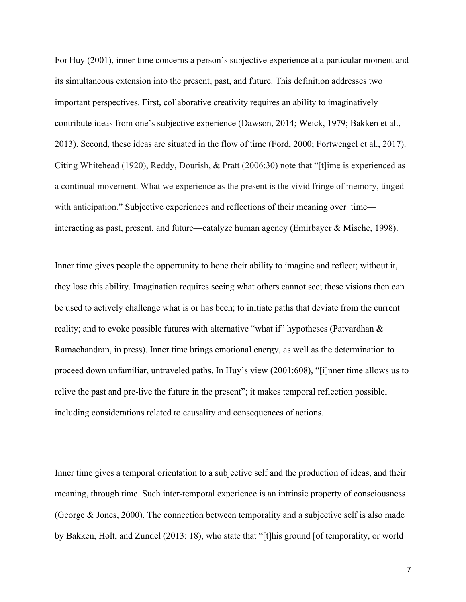For Huy (2001), inner time concerns a person's subjective experience at a particular moment and its simultaneous extension into the present, past, and future. This definition addresses two important perspectives. First, collaborative creativity requires an ability to imaginatively contribute ideas from one's subjective experience (Dawson, 2014; Weick, 1979; Bakken et al., 2013). Second, these ideas are situated in the flow of time (Ford, 2000; Fortwengel et al., 2017). Citing Whitehead (1920), Reddy, Dourish, & Pratt (2006:30) note that "[t]ime is experienced as a continual movement. What we experience as the present is the vivid fringe of memory, tinged with anticipation." Subjective experiences and reflections of their meaning over time interacting as past, present, and future—catalyze human agency (Emirbayer & Mische, 1998).

Inner time gives people the opportunity to hone their ability to imagine and reflect; without it, they lose this ability. Imagination requires seeing what others cannot see; these visions then can be used to actively challenge what is or has been; to initiate paths that deviate from the current reality; and to evoke possible futures with alternative "what if" hypotheses (Patvardhan & Ramachandran, in press). Inner time brings emotional energy, as well as the determination to proceed down unfamiliar, untraveled paths. In Huy's view (2001:608), "[i]nner time allows us to relive the past and pre-live the future in the present"; it makes temporal reflection possible, including considerations related to causality and consequences of actions.

Inner time gives a temporal orientation to a subjective self and the production of ideas, and their meaning, through time. Such inter-temporal experience is an intrinsic property of consciousness (George & Jones, 2000). The connection between temporality and a subjective self is also made by Bakken, Holt, and Zundel (2013: 18), who state that "[t]his ground [of temporality, or world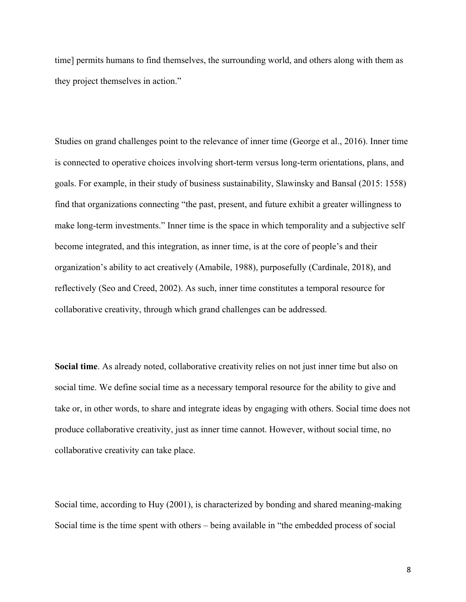time] permits humans to find themselves, the surrounding world, and others along with them as they project themselves in action."

Studies on grand challenges point to the relevance of inner time (George et al., 2016). Inner time is connected to operative choices involving short-term versus long-term orientations, plans, and goals. For example, in their study of business sustainability, Slawinsky and Bansal (2015: 1558) find that organizations connecting "the past, present, and future exhibit a greater willingness to make long-term investments." Inner time is the space in which temporality and a subjective self become integrated, and this integration, as inner time, is at the core of people's and their organization's ability to act creatively (Amabile, 1988), purposefully (Cardinale, 2018), and reflectively (Seo and Creed, 2002). As such, inner time constitutes a temporal resource for collaborative creativity, through which grand challenges can be addressed.

**Social time**. As already noted, collaborative creativity relies on not just inner time but also on social time. We define social time as a necessary temporal resource for the ability to give and take or, in other words, to share and integrate ideas by engaging with others. Social time does not produce collaborative creativity, just as inner time cannot. However, without social time, no collaborative creativity can take place.

Social time, according to Huy (2001), is characterized by bonding and shared meaning-making Social time is the time spent with others – being available in "the embedded process of social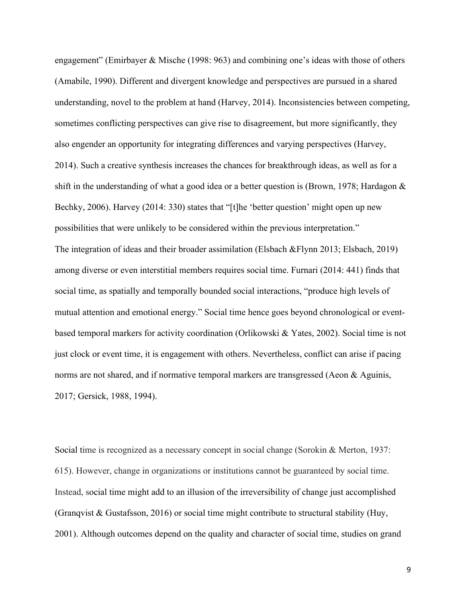engagement" (Emirbayer & Mische (1998: 963) and combining one's ideas with those of others (Amabile, 1990). Different and divergent knowledge and perspectives are pursued in a shared understanding, novel to the problem at hand (Harvey, 2014). Inconsistencies between competing, sometimes conflicting perspectives can give rise to disagreement, but more significantly, they also engender an opportunity for integrating differences and varying perspectives (Harvey, 2014). Such a creative synthesis increases the chances for breakthrough ideas, as well as for a shift in the understanding of what a good idea or a better question is (Brown, 1978; Hardagon  $\&$ Bechky, 2006). Harvey (2014: 330) states that "[t]he 'better question' might open up new possibilities that were unlikely to be considered within the previous interpretation." The integration of ideas and their broader assimilation (Elsbach &Flynn 2013; Elsbach, 2019) among diverse or even interstitial members requires social time. Furnari (2014: 441) finds that social time, as spatially and temporally bounded social interactions, "produce high levels of mutual attention and emotional energy." Social time hence goes beyond chronological or eventbased temporal markers for activity coordination (Orlikowski & Yates, 2002). Social time is not just clock or event time, it is engagement with others. Nevertheless, conflict can arise if pacing norms are not shared, and if normative temporal markers are transgressed (Aeon & Aguinis, 2017; Gersick, 1988, 1994).

Social time is recognized as a necessary concept in social change (Sorokin & Merton, 1937: 615). However, change in organizations or institutions cannot be guaranteed by social time. Instead, social time might add to an illusion of the irreversibility of change just accomplished (Granqvist & Gustafsson, 2016) or social time might contribute to structural stability (Huy, 2001). Although outcomes depend on the quality and character of social time, studies on grand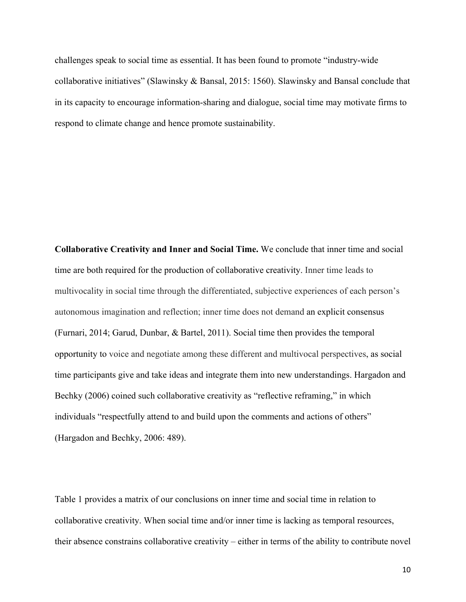challenges speak to social time as essential. It has been found to promote "industry-wide collaborative initiatives" (Slawinsky & Bansal, 2015: 1560). Slawinsky and Bansal conclude that in its capacity to encourage information-sharing and dialogue, social time may motivate firms to respond to climate change and hence promote sustainability.

**Collaborative Creativity and Inner and Social Time.** We conclude that inner time and social time are both required for the production of collaborative creativity. Inner time leads to multivocality in social time through the differentiated, subjective experiences of each person's autonomous imagination and reflection; inner time does not demand an explicit consensus (Furnari, 2014; Garud, Dunbar, & Bartel, 2011). Social time then provides the temporal opportunity to voice and negotiate among these different and multivocal perspectives, as social time participants give and take ideas and integrate them into new understandings. Hargadon and Bechky (2006) coined such collaborative creativity as "reflective reframing," in which individuals "respectfully attend to and build upon the comments and actions of others" (Hargadon and Bechky, 2006: 489).

Table 1 provides a matrix of our conclusions on inner time and social time in relation to collaborative creativity. When social time and/or inner time is lacking as temporal resources, their absence constrains collaborative creativity – either in terms of the ability to contribute novel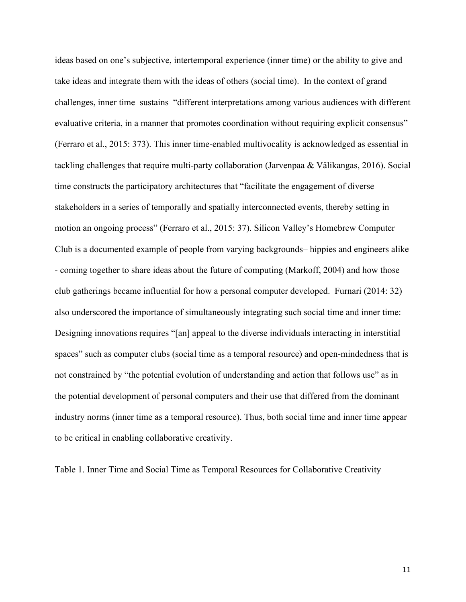ideas based on one's subjective, intertemporal experience (inner time) or the ability to give and take ideas and integrate them with the ideas of others (social time). In the context of grand challenges, inner time sustains "different interpretations among various audiences with different evaluative criteria, in a manner that promotes coordination without requiring explicit consensus" (Ferraro et al., 2015: 373). This inner time-enabled multivocality is acknowledged as essential in tackling challenges that require multi-party collaboration (Jarvenpaa & Välikangas, 2016). Social time constructs the participatory architectures that "facilitate the engagement of diverse stakeholders in a series of temporally and spatially interconnected events, thereby setting in motion an ongoing process" (Ferraro et al., 2015: 37). Silicon Valley's Homebrew Computer Club is a documented example of people from varying backgrounds– hippies and engineers alike - coming together to share ideas about the future of computing (Markoff, 2004) and how those club gatherings became influential for how a personal computer developed. Furnari (2014: 32) also underscored the importance of simultaneously integrating such social time and inner time: Designing innovations requires "[an] appeal to the diverse individuals interacting in interstitial spaces" such as computer clubs (social time as a temporal resource) and open-mindedness that is not constrained by "the potential evolution of understanding and action that follows use" as in the potential development of personal computers and their use that differed from the dominant industry norms (inner time as a temporal resource). Thus, both social time and inner time appear to be critical in enabling collaborative creativity.

Table 1. Inner Time and Social Time as Temporal Resources for Collaborative Creativity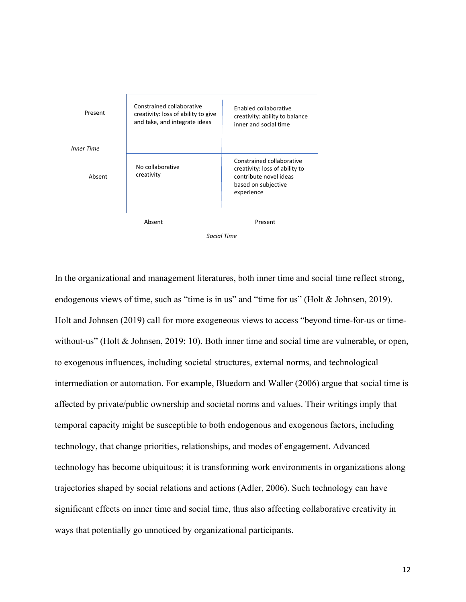

```
Social Time
```
In the organizational and management literatures, both inner time and social time reflect strong, endogenous views of time, such as "time is in us" and "time for us" (Holt & Johnsen, 2019). Holt and Johnsen (2019) call for more exogeneous views to access "beyond time-for-us or timewithout-us" (Holt & Johnsen, 2019: 10). Both inner time and social time are vulnerable, or open, to exogenous influences, including societal structures, external norms, and technological intermediation or automation. For example, Bluedorn and Waller (2006) argue that social time is affected by private/public ownership and societal norms and values. Their writings imply that temporal capacity might be susceptible to both endogenous and exogenous factors, including technology, that change priorities, relationships, and modes of engagement. Advanced technology has become ubiquitous; it is transforming work environments in organizations along trajectories shaped by social relations and actions (Adler, 2006). Such technology can have significant effects on inner time and social time, thus also affecting collaborative creativity in ways that potentially go unnoticed by organizational participants.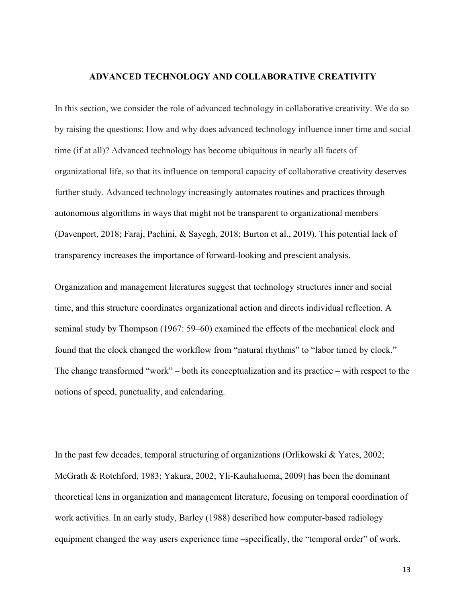#### **ADVANCED TECHNOLOGY AND COLLABORATIVE CREATIVITY**

In this section, we consider the role of advanced technology in collaborative creativity. We do so by raising the questions: How and why does advanced technology influence inner time and social time (if at all)? Advanced technology has become ubiquitous in nearly all facets of organizational life, so that its influence on temporal capacity of collaborative creativity deserves further study. Advanced technology increasingly automates routines and practices through autonomous algorithms in ways that might not be transparent to organizational members (Davenport, 2018; Faraj, Pachini, & Sayegh, 2018; Burton et al., 2019). This potential lack of transparency increases the importance of forward-looking and prescient analysis.

Organization and management literatures suggest that technology structures inner and social time, and this structure coordinates organizational action and directs individual reflection. A seminal study by Thompson (1967: 59–60) examined the effects of the mechanical clock and found that the clock changed the workflow from "natural rhythms" to "labor timed by clock." The change transformed "work" – both its conceptualization and its practice – with respect to the notions of speed, punctuality, and calendaring.

In the past few decades, temporal structuring of organizations (Orlikowski & Yates, 2002; McGrath & Rotchford, 1983; Yakura, 2002; Yli-Kauhaluoma, 2009) has been the dominant theoretical lens in organization and management literature, focusing on temporal coordination of work activities. In an early study, Barley (1988) described how computer-based radiology equipment changed the way users experience time –specifically, the "temporal order" of work.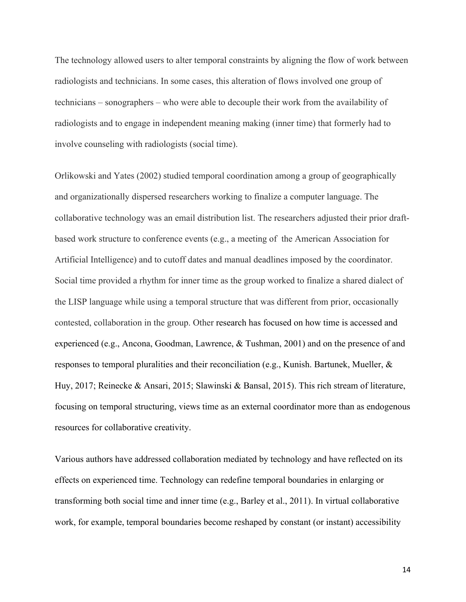The technology allowed users to alter temporal constraints by aligning the flow of work between radiologists and technicians. In some cases, this alteration of flows involved one group of technicians – sonographers – who were able to decouple their work from the availability of radiologists and to engage in independent meaning making (inner time) that formerly had to involve counseling with radiologists (social time).

Orlikowski and Yates (2002) studied temporal coordination among a group of geographically and organizationally dispersed researchers working to finalize a computer language. The collaborative technology was an email distribution list. The researchers adjusted their prior draftbased work structure to conference events (e.g., a meeting of the American Association for Artificial Intelligence) and to cutoff dates and manual deadlines imposed by the coordinator. Social time provided a rhythm for inner time as the group worked to finalize a shared dialect of the LISP language while using a temporal structure that was different from prior, occasionally contested, collaboration in the group. Other research has focused on how time is accessed and experienced (e.g., Ancona, Goodman, Lawrence, & Tushman, 2001) and on the presence of and responses to temporal pluralities and their reconciliation (e.g., Kunish. Bartunek, Mueller, & Huy, 2017; Reinecke & Ansari, 2015; Slawinski & Bansal, 2015). This rich stream of literature, focusing on temporal structuring, views time as an external coordinator more than as endogenous resources for collaborative creativity.

Various authors have addressed collaboration mediated by technology and have reflected on its effects on experienced time. Technology can redefine temporal boundaries in enlarging or transforming both social time and inner time (e.g., Barley et al., 2011). In virtual collaborative work, for example, temporal boundaries become reshaped by constant (or instant) accessibility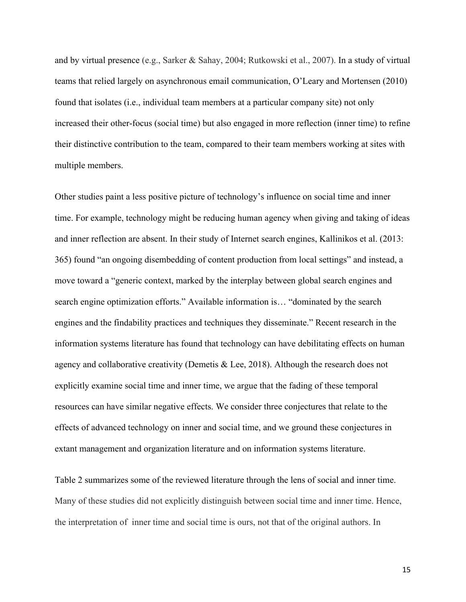and by virtual presence (e.g., Sarker & Sahay, 2004; Rutkowski et al., 2007). In a study of virtual teams that relied largely on asynchronous email communication, O'Leary and Mortensen (2010) found that isolates (i.e., individual team members at a particular company site) not only increased their other-focus (social time) but also engaged in more reflection (inner time) to refine their distinctive contribution to the team, compared to their team members working at sites with multiple members.

Other studies paint a less positive picture of technology's influence on social time and inner time. For example, technology might be reducing human agency when giving and taking of ideas and inner reflection are absent. In their study of Internet search engines, Kallinikos et al. (2013: 365) found "an ongoing disembedding of content production from local settings" and instead, a move toward a "generic context, marked by the interplay between global search engines and search engine optimization efforts." Available information is… "dominated by the search engines and the findability practices and techniques they disseminate." Recent research in the information systems literature has found that technology can have debilitating effects on human agency and collaborative creativity (Demetis & Lee, 2018). Although the research does not explicitly examine social time and inner time, we argue that the fading of these temporal resources can have similar negative effects. We consider three conjectures that relate to the effects of advanced technology on inner and social time, and we ground these conjectures in extant management and organization literature and on information systems literature.

Table 2 summarizes some of the reviewed literature through the lens of social and inner time. Many of these studies did not explicitly distinguish between social time and inner time. Hence, the interpretation of inner time and social time is ours, not that of the original authors. In

15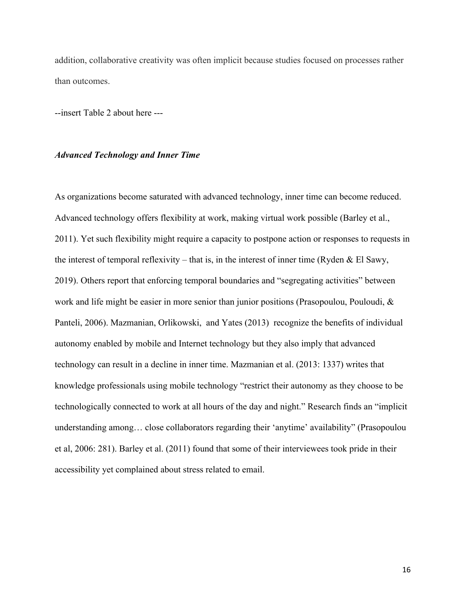addition, collaborative creativity was often implicit because studies focused on processes rather than outcomes.

--insert Table 2 about here ---

## *Advanced Technology and Inner Time*

As organizations become saturated with advanced technology, inner time can become reduced. Advanced technology offers flexibility at work, making virtual work possible (Barley et al., 2011). Yet such flexibility might require a capacity to postpone action or responses to requests in the interest of temporal reflexivity – that is, in the interest of inner time (Ryden & El Sawy, 2019). Others report that enforcing temporal boundaries and "segregating activities" between work and life might be easier in more senior than junior positions (Prasopoulou, Pouloudi, & Panteli, 2006). Mazmanian, Orlikowski, and Yates (2013) recognize the benefits of individual autonomy enabled by mobile and Internet technology but they also imply that advanced technology can result in a decline in inner time. Mazmanian et al. (2013: 1337) writes that knowledge professionals using mobile technology "restrict their autonomy as they choose to be technologically connected to work at all hours of the day and night." Research finds an "implicit understanding among… close collaborators regarding their 'anytime' availability" (Prasopoulou et al, 2006: 281). Barley et al. (2011) found that some of their interviewees took pride in their accessibility yet complained about stress related to email.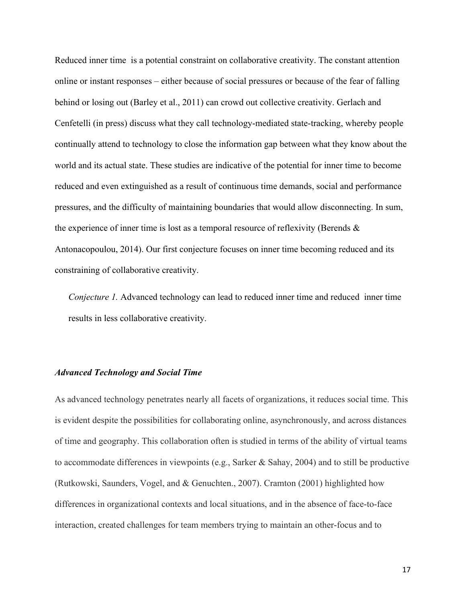Reduced inner time is a potential constraint on collaborative creativity. The constant attention online or instant responses – either because of social pressures or because of the fear of falling behind or losing out (Barley et al., 2011) can crowd out collective creativity. Gerlach and Cenfetelli (in press) discuss what they call technology-mediated state-tracking, whereby people continually attend to technology to close the information gap between what they know about the world and its actual state. These studies are indicative of the potential for inner time to become reduced and even extinguished as a result of continuous time demands, social and performance pressures, and the difficulty of maintaining boundaries that would allow disconnecting. In sum, the experience of inner time is lost as a temporal resource of reflexivity (Berends & Antonacopoulou, 2014). Our first conjecture focuses on inner time becoming reduced and its constraining of collaborative creativity.

*Conjecture 1.* Advanced technology can lead to reduced inner time and reduced inner time results in less collaborative creativity.

## *Advanced Technology and Social Time*

As advanced technology penetrates nearly all facets of organizations, it reduces social time. This is evident despite the possibilities for collaborating online, asynchronously, and across distances of time and geography. This collaboration often is studied in terms of the ability of virtual teams to accommodate differences in viewpoints (e.g., Sarker & Sahay, 2004) and to still be productive (Rutkowski, Saunders, Vogel, and & Genuchten., 2007). Cramton (2001) highlighted how differences in organizational contexts and local situations, and in the absence of face-to-face interaction, created challenges for team members trying to maintain an other-focus and to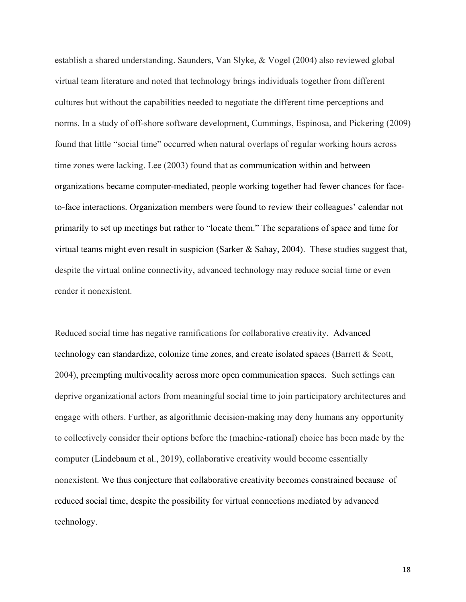establish a shared understanding. Saunders, Van Slyke, & Vogel (2004) also reviewed global virtual team literature and noted that technology brings individuals together from different cultures but without the capabilities needed to negotiate the different time perceptions and norms. In a study of off-shore software development, Cummings, Espinosa, and Pickering (2009) found that little "social time" occurred when natural overlaps of regular working hours across time zones were lacking. Lee (2003) found that as communication within and between organizations became computer-mediated, people working together had fewer chances for faceto-face interactions. Organization members were found to review their colleagues' calendar not primarily to set up meetings but rather to "locate them." The separations of space and time for virtual teams might even result in suspicion (Sarker & Sahay, 2004). These studies suggest that, despite the virtual online connectivity, advanced technology may reduce social time or even render it nonexistent.

Reduced social time has negative ramifications for collaborative creativity. Advanced technology can standardize, colonize time zones, and create isolated spaces (Barrett & Scott, 2004), preempting multivocality across more open communication spaces. Such settings can deprive organizational actors from meaningful social time to join participatory architectures and engage with others. Further, as algorithmic decision-making may deny humans any opportunity to collectively consider their options before the (machine-rational) choice has been made by the computer (Lindebaum et al., 2019), collaborative creativity would become essentially nonexistent. We thus conjecture that collaborative creativity becomes constrained because of reduced social time, despite the possibility for virtual connections mediated by advanced technology.

18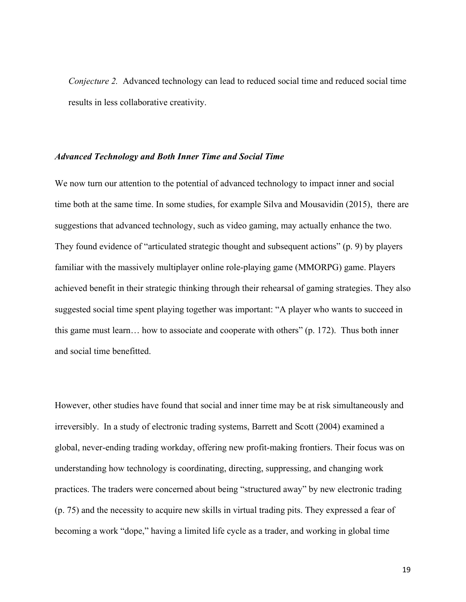*Conjecture 2.* Advanced technology can lead to reduced social time and reduced social time results in less collaborative creativity.

#### *Advanced Technology and Both Inner Time and Social Time*

We now turn our attention to the potential of advanced technology to impact inner and social time both at the same time. In some studies, for example Silva and Mousavidin (2015), there are suggestions that advanced technology, such as video gaming, may actually enhance the two. They found evidence of "articulated strategic thought and subsequent actions" (p. 9) by players familiar with the massively multiplayer online role-playing game (MMORPG) game. Players achieved benefit in their strategic thinking through their rehearsal of gaming strategies. They also suggested social time spent playing together was important: "A player who wants to succeed in this game must learn… how to associate and cooperate with others" (p. 172). Thus both inner and social time benefitted.

However, other studies have found that social and inner time may be at risk simultaneously and irreversibly. In a study of electronic trading systems, Barrett and Scott (2004) examined a global, never-ending trading workday, offering new profit-making frontiers. Their focus was on understanding how technology is coordinating, directing, suppressing, and changing work practices. The traders were concerned about being "structured away" by new electronic trading (p. 75) and the necessity to acquire new skills in virtual trading pits. They expressed a fear of becoming a work "dope," having a limited life cycle as a trader, and working in global time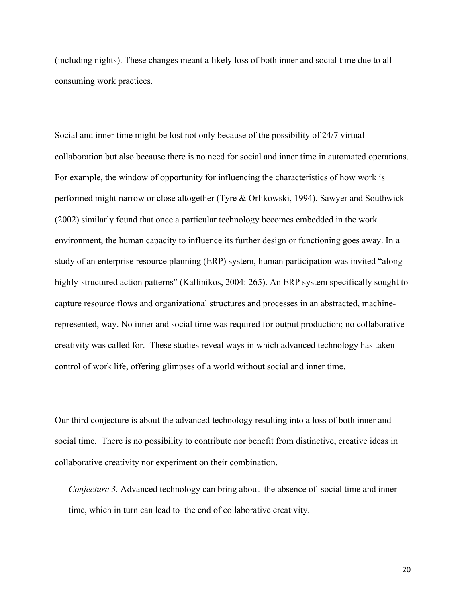(including nights). These changes meant a likely loss of both inner and social time due to allconsuming work practices.

Social and inner time might be lost not only because of the possibility of 24/7 virtual collaboration but also because there is no need for social and inner time in automated operations. For example, the window of opportunity for influencing the characteristics of how work is performed might narrow or close altogether (Tyre & Orlikowski, 1994). Sawyer and Southwick (2002) similarly found that once a particular technology becomes embedded in the work environment, the human capacity to influence its further design or functioning goes away. In a study of an enterprise resource planning (ERP) system, human participation was invited "along highly-structured action patterns" (Kallinikos, 2004: 265). An ERP system specifically sought to capture resource flows and organizational structures and processes in an abstracted, machinerepresented, way. No inner and social time was required for output production; no collaborative creativity was called for. These studies reveal ways in which advanced technology has taken control of work life, offering glimpses of a world without social and inner time.

Our third conjecture is about the advanced technology resulting into a loss of both inner and social time. There is no possibility to contribute nor benefit from distinctive, creative ideas in collaborative creativity nor experiment on their combination.

*Conjecture 3.* Advanced technology can bring about the absence of social time and inner time, which in turn can lead to the end of collaborative creativity.

20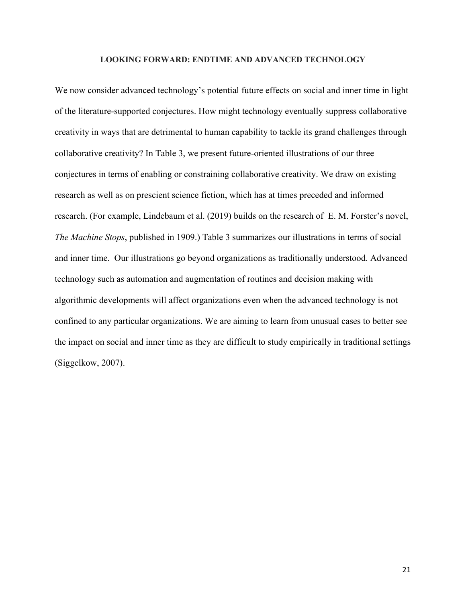#### **LOOKING FORWARD: ENDTIME AND ADVANCED TECHNOLOGY**

We now consider advanced technology's potential future effects on social and inner time in light of the literature-supported conjectures. How might technology eventually suppress collaborative creativity in ways that are detrimental to human capability to tackle its grand challenges through collaborative creativity? In Table 3, we present future-oriented illustrations of our three conjectures in terms of enabling or constraining collaborative creativity. We draw on existing research as well as on prescient science fiction, which has at times preceded and informed research. (For example, Lindebaum et al. (2019) builds on the research of E. M. Forster's novel, *The Machine Stops*, published in 1909.) Table 3 summarizes our illustrations in terms of social and inner time. Our illustrations go beyond organizations as traditionally understood. Advanced technology such as automation and augmentation of routines and decision making with algorithmic developments will affect organizations even when the advanced technology is not confined to any particular organizations. We are aiming to learn from unusual cases to better see the impact on social and inner time as they are difficult to study empirically in traditional settings (Siggelkow, 2007).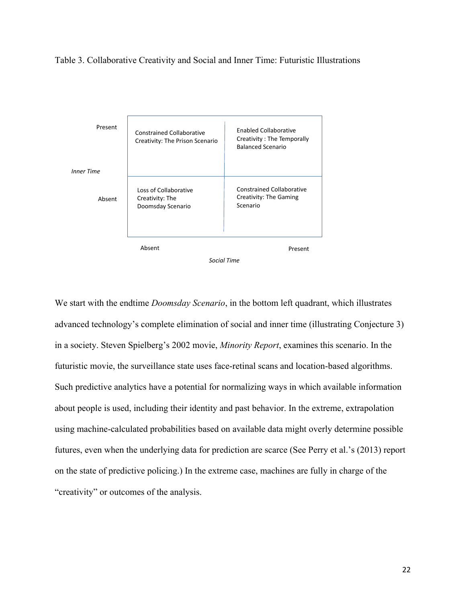Table 3. Collaborative Creativity and Social and Inner Time: Futuristic Illustrations



We start with the endtime *Doomsday Scenario*, in the bottom left quadrant, which illustrates advanced technology's complete elimination of social and inner time (illustrating Conjecture 3) in a society. Steven Spielberg's 2002 movie, *Minority Report*, examines this scenario. In the futuristic movie, the surveillance state uses face-retinal scans and location-based algorithms. Such predictive analytics have a potential for normalizing ways in which available information about people is used, including their identity and past behavior. In the extreme, extrapolation using machine-calculated probabilities based on available data might overly determine possible futures, even when the underlying data for prediction are scarce (See Perry et al.'s (2013) report on the state of predictive policing.) In the extreme case, machines are fully in charge of the "creativity" or outcomes of the analysis.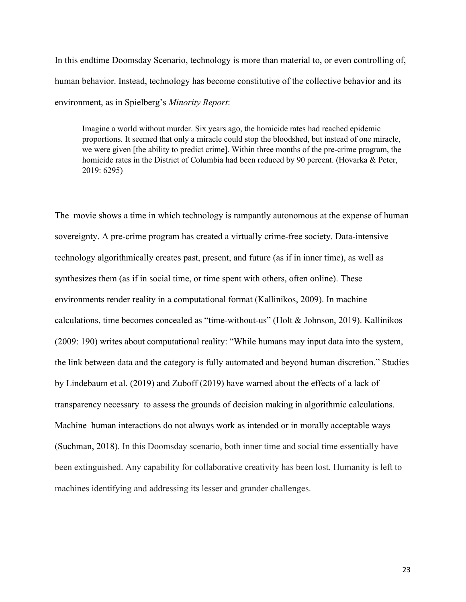In this endtime Doomsday Scenario, technology is more than material to, or even controlling of, human behavior. Instead, technology has become constitutive of the collective behavior and its environment, as in Spielberg's *Minority Report*:

Imagine a world without murder. Six years ago, the homicide rates had reached epidemic proportions. It seemed that only a miracle could stop the bloodshed, but instead of one miracle, we were given [the ability to predict crime]. Within three months of the pre-crime program, the homicide rates in the District of Columbia had been reduced by 90 percent. (Hovarka & Peter, 2019: 6295)

The movie shows a time in which technology is rampantly autonomous at the expense of human sovereignty. A pre-crime program has created a virtually crime-free society. Data-intensive technology algorithmically creates past, present, and future (as if in inner time), as well as synthesizes them (as if in social time, or time spent with others, often online). These environments render reality in a computational format (Kallinikos, 2009). In machine calculations, time becomes concealed as "time-without-us" (Holt & Johnson, 2019). Kallinikos (2009: 190) writes about computational reality: "While humans may input data into the system, the link between data and the category is fully automated and beyond human discretion." Studies by Lindebaum et al. (2019) and Zuboff (2019) have warned about the effects of a lack of transparency necessary to assess the grounds of decision making in algorithmic calculations. Machine–human interactions do not always work as intended or in morally acceptable ways (Suchman, 2018). In this Doomsday scenario, both inner time and social time essentially have been extinguished. Any capability for collaborative creativity has been lost. Humanity is left to machines identifying and addressing its lesser and grander challenges.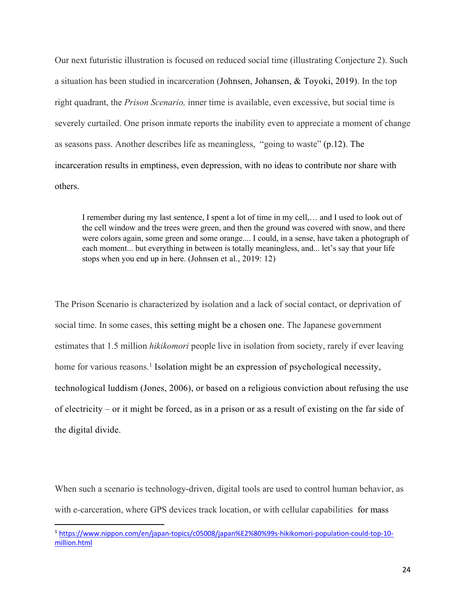Our next futuristic illustration is focused on reduced social time (illustrating Conjecture 2). Such a situation has been studied in incarceration (Johnsen, Johansen, & Toyoki, 2019). In the top right quadrant, the *Prison Scenario,* inner time is available, even excessive, but social time is severely curtailed. One prison inmate reports the inability even to appreciate a moment of change as seasons pass. Another describes life as meaningless, "going to waste" (p.12). The incarceration results in emptiness, even depression, with no ideas to contribute nor share with others.

I remember during my last sentence, I spent a lot of time in my cell,… and I used to look out of the cell window and the trees were green, and then the ground was covered with snow, and there were colors again, some green and some orange.... I could, in a sense, have taken a photograph of each moment... but everything in between is totally meaningless, and... let's say that your life stops when you end up in here. (Johnsen et al., 2019: 12)

The Prison Scenario is characterized by isolation and a lack of social contact, or deprivation of social time. In some cases, this setting might be a chosen one. The Japanese government estimates that 1.5 million *hikikomori* people live in isolation from society, rarely if ever leaving home for various reasons.<sup>1</sup> Isolation might be an expression of psychological necessity, technological luddism (Jones, 2006), or based on a religious conviction about refusing the use of electricity – or it might be forced, as in a prison or as a result of existing on the far side of the digital divide.

When such a scenario is technology-driven, digital tools are used to control human behavior, as with e-carceration, where GPS devices track location, or with cellular capabilities for mass

<sup>1</sup> https://www.nippon.com/en/japan-topics/c05008/japan%E2%80%99s-hikikomori-population-could-top-10 million.html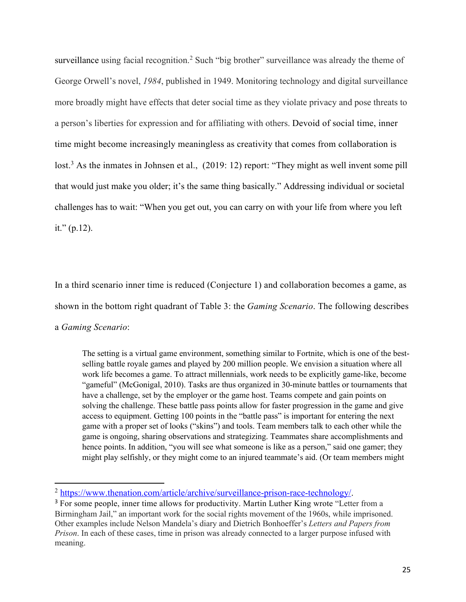surveillance using facial recognition.<sup>2</sup> Such "big brother" surveillance was already the theme of George Orwell's novel, *1984*, published in 1949. Monitoring technology and digital surveillance more broadly might have effects that deter social time as they violate privacy and pose threats to a person's liberties for expression and for affiliating with others. Devoid of social time, inner time might become increasingly meaningless as creativity that comes from collaboration is lost.<sup>3</sup> As the inmates in Johnsen et al., (2019: 12) report: "They might as well invent some pill that would just make you older; it's the same thing basically." Addressing individual or societal challenges has to wait: "When you get out, you can carry on with your life from where you left it."  $(p.12)$ .

In a third scenario inner time is reduced (Conjecture 1) and collaboration becomes a game, as shown in the bottom right quadrant of Table 3: the *Gaming Scenario*. The following describes a *Gaming Scenario*:

The setting is a virtual game environment, something similar to Fortnite, which is one of the bestselling battle royale games and played by 200 million people. We envision a situation where all work life becomes a game. To attract millennials, work needs to be explicitly game-like, become "gameful" (McGonigal, 2010). Tasks are thus organized in 30-minute battles or tournaments that have a challenge, set by the employer or the game host. Teams compete and gain points on solving the challenge. These battle pass points allow for faster progression in the game and give access to equipment. Getting 100 points in the "battle pass" is important for entering the next game with a proper set of looks ("skins") and tools. Team members talk to each other while the game is ongoing, sharing observations and strategizing. Teammates share accomplishments and hence points. In addition, "you will see what someone is like as a person," said one gamer; they might play selfishly, or they might come to an injured teammate's aid. (Or team members might

<sup>2</sup> https://www.thenation.com/article/archive/surveillance-prison-race-technology/.

<sup>&</sup>lt;sup>3</sup> For some people, inner time allows for productivity. Martin Luther King wrote "Letter from a Birmingham Jail," an important work for the social rights movement of the 1960s, while imprisoned. Other examples include Nelson Mandela's diary and Dietrich Bonhoeffer's *Letters and Papers from Prison*. In each of these cases, time in prison was already connected to a larger purpose infused with meaning.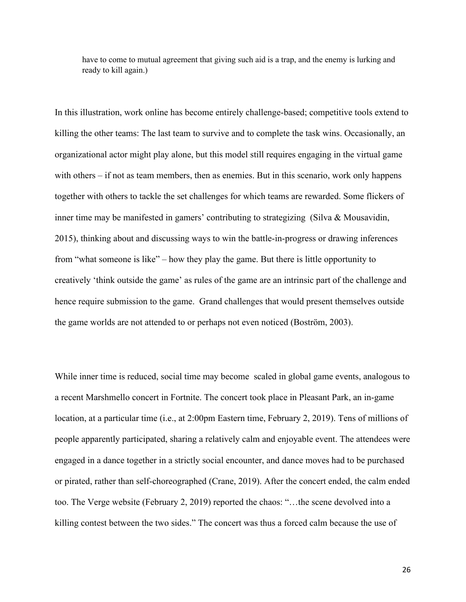have to come to mutual agreement that giving such aid is a trap, and the enemy is lurking and ready to kill again.)

In this illustration, work online has become entirely challenge-based; competitive tools extend to killing the other teams: The last team to survive and to complete the task wins. Occasionally, an organizational actor might play alone, but this model still requires engaging in the virtual game with others – if not as team members, then as enemies. But in this scenario, work only happens together with others to tackle the set challenges for which teams are rewarded. Some flickers of inner time may be manifested in gamers' contributing to strategizing (Silva & Mousavidin, 2015), thinking about and discussing ways to win the battle-in-progress or drawing inferences from "what someone is like" – how they play the game. But there is little opportunity to creatively 'think outside the game' as rules of the game are an intrinsic part of the challenge and hence require submission to the game. Grand challenges that would present themselves outside the game worlds are not attended to or perhaps not even noticed (Boström, 2003).

While inner time is reduced, social time may become scaled in global game events, analogous to a recent Marshmello concert in Fortnite. The concert took place in Pleasant Park, an in-game location, at a particular time (i.e., at 2:00pm Eastern time, February 2, 2019). Tens of millions of people apparently participated, sharing a relatively calm and enjoyable event. The attendees were engaged in a dance together in a strictly social encounter, and dance moves had to be purchased or pirated, rather than self-choreographed (Crane, 2019). After the concert ended, the calm ended too. The Verge website (February 2, 2019) reported the chaos: "…the scene devolved into a killing contest between the two sides." The concert was thus a forced calm because the use of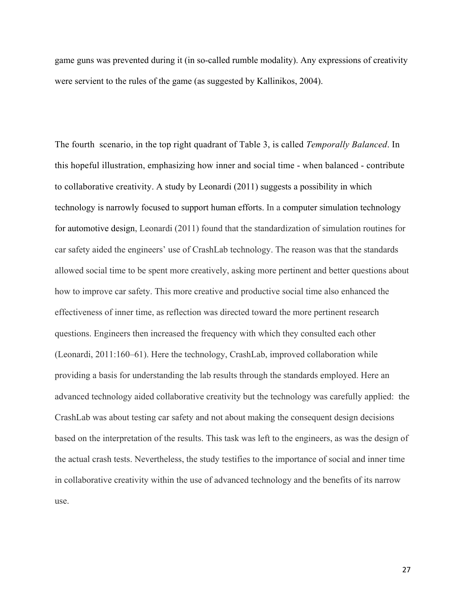game guns was prevented during it (in so-called rumble modality). Any expressions of creativity were servient to the rules of the game (as suggested by Kallinikos, 2004).

The fourth scenario, in the top right quadrant of Table 3, is called *Temporally Balanced*. In this hopeful illustration, emphasizing how inner and social time - when balanced - contribute to collaborative creativity. A study by Leonardi (2011) suggests a possibility in which technology is narrowly focused to support human efforts. In a computer simulation technology for automotive design, Leonardi (2011) found that the standardization of simulation routines for car safety aided the engineers' use of CrashLab technology. The reason was that the standards allowed social time to be spent more creatively, asking more pertinent and better questions about how to improve car safety. This more creative and productive social time also enhanced the effectiveness of inner time, as reflection was directed toward the more pertinent research questions. Engineers then increased the frequency with which they consulted each other (Leonardi, 2011:160–61). Here the technology, CrashLab, improved collaboration while providing a basis for understanding the lab results through the standards employed. Here an advanced technology aided collaborative creativity but the technology was carefully applied: the CrashLab was about testing car safety and not about making the consequent design decisions based on the interpretation of the results. This task was left to the engineers, as was the design of the actual crash tests. Nevertheless, the study testifies to the importance of social and inner time in collaborative creativity within the use of advanced technology and the benefits of its narrow use.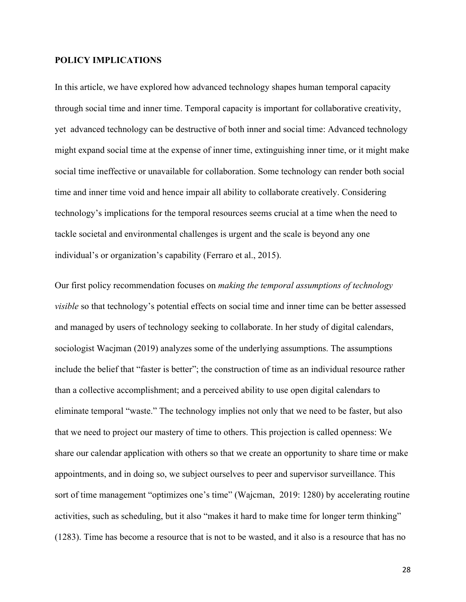## **POLICY IMPLICATIONS**

In this article, we have explored how advanced technology shapes human temporal capacity through social time and inner time. Temporal capacity is important for collaborative creativity, yet advanced technology can be destructive of both inner and social time: Advanced technology might expand social time at the expense of inner time, extinguishing inner time, or it might make social time ineffective or unavailable for collaboration. Some technology can render both social time and inner time void and hence impair all ability to collaborate creatively. Considering technology's implications for the temporal resources seems crucial at a time when the need to tackle societal and environmental challenges is urgent and the scale is beyond any one individual's or organization's capability (Ferraro et al., 2015).

Our first policy recommendation focuses on *making the temporal assumptions of technology visible* so that technology's potential effects on social time and inner time can be better assessed and managed by users of technology seeking to collaborate. In her study of digital calendars, sociologist Wacjman (2019) analyzes some of the underlying assumptions. The assumptions include the belief that "faster is better"; the construction of time as an individual resource rather than a collective accomplishment; and a perceived ability to use open digital calendars to eliminate temporal "waste." The technology implies not only that we need to be faster, but also that we need to project our mastery of time to others. This projection is called openness: We share our calendar application with others so that we create an opportunity to share time or make appointments, and in doing so, we subject ourselves to peer and supervisor surveillance. This sort of time management "optimizes one's time" (Wajcman, 2019: 1280) by accelerating routine activities, such as scheduling, but it also "makes it hard to make time for longer term thinking" (1283). Time has become a resource that is not to be wasted, and it also is a resource that has no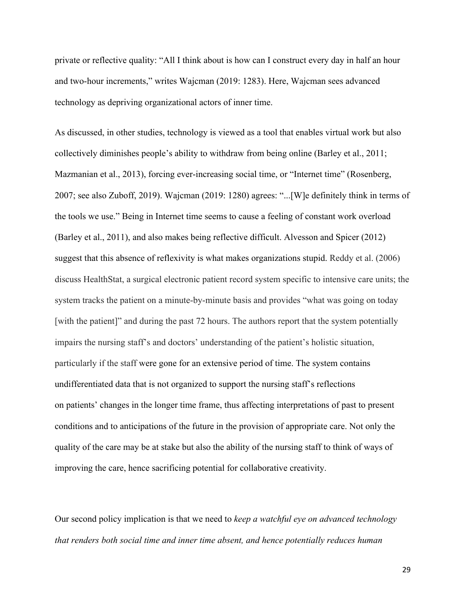private or reflective quality: "All I think about is how can I construct every day in half an hour and two-hour increments," writes Wajcman (2019: 1283). Here, Wajcman sees advanced technology as depriving organizational actors of inner time.

As discussed, in other studies, technology is viewed as a tool that enables virtual work but also collectively diminishes people's ability to withdraw from being online (Barley et al., 2011; Mazmanian et al., 2013), forcing ever-increasing social time, or "Internet time" (Rosenberg, 2007; see also Zuboff, 2019). Wajcman (2019: 1280) agrees: "...[W]e definitely think in terms of the tools we use." Being in Internet time seems to cause a feeling of constant work overload (Barley et al., 2011), and also makes being reflective difficult. Alvesson and Spicer (2012) suggest that this absence of reflexivity is what makes organizations stupid. Reddy et al. (2006) discuss HealthStat, a surgical electronic patient record system specific to intensive care units; the system tracks the patient on a minute-by-minute basis and provides "what was going on today [with the patient]" and during the past 72 hours. The authors report that the system potentially impairs the nursing staff's and doctors' understanding of the patient's holistic situation, particularly if the staff were gone for an extensive period of time. The system contains undifferentiated data that is not organized to support the nursing staff's reflections on patients' changes in the longer time frame, thus affecting interpretations of past to present conditions and to anticipations of the future in the provision of appropriate care. Not only the quality of the care may be at stake but also the ability of the nursing staff to think of ways of improving the care, hence sacrificing potential for collaborative creativity.

Our second policy implication is that we need to *keep a watchful eye on advanced technology that renders both social time and inner time absent, and hence potentially reduces human* 

29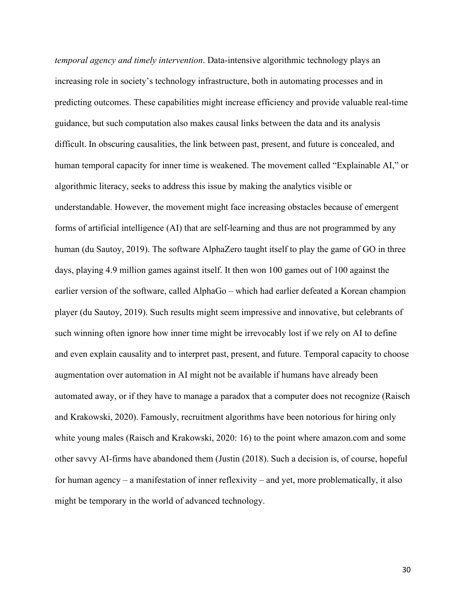*temporal agency and timely intervention*. Data-intensive algorithmic technology plays an increasing role in society's technology infrastructure, both in automating processes and in predicting outcomes. These capabilities might increase efficiency and provide valuable real-time guidance, but such computation also makes causal links between the data and its analysis difficult. In obscuring causalities, the link between past, present, and future is concealed, and human temporal capacity for inner time is weakened. The movement called "Explainable AI," or algorithmic literacy, seeks to address this issue by making the analytics visible or understandable. However, the movement might face increasing obstacles because of emergent forms of artificial intelligence (AI) that are self-learning and thus are not programmed by any human (du Sautoy, 2019). The software AlphaZero taught itself to play the game of GO in three days, playing 4.9 million games against itself. It then won 100 games out of 100 against the earlier version of the software, called AlphaGo – which had earlier defeated a Korean champion player (du Sautoy, 2019). Such results might seem impressive and innovative, but celebrants of such winning often ignore how inner time might be irrevocably lost if we rely on AI to define and even explain causality and to interpret past, present, and future. Temporal capacity to choose augmentation over automation in AI might not be available if humans have already been automated away, or if they have to manage a paradox that a computer does not recognize (Raisch and Krakowski, 2020). Famously, recruitment algorithms have been notorious for hiring only white young males (Raisch and Krakowski, 2020: 16) to the point where amazon.com and some other savvy AI-firms have abandoned them (Justin (2018). Such a decision is, of course, hopeful for human agency – a manifestation of inner reflexivity – and yet, more problematically, it also might be temporary in the world of advanced technology.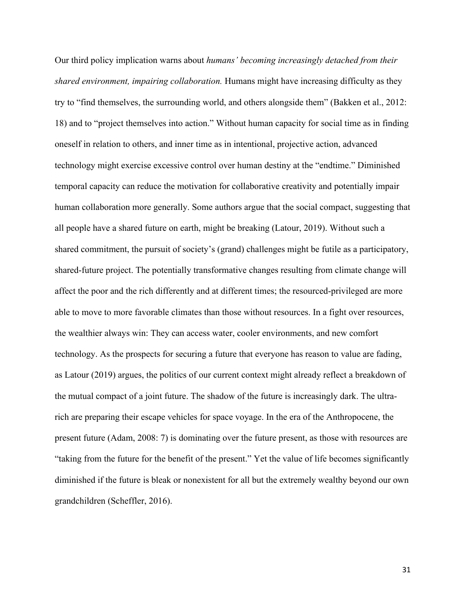Our third policy implication warns about *humans' becoming increasingly detached from their shared environment, impairing collaboration.* Humans might have increasing difficulty as they try to "find themselves, the surrounding world, and others alongside them" (Bakken et al., 2012: 18) and to "project themselves into action." Without human capacity for social time as in finding oneself in relation to others, and inner time as in intentional, projective action, advanced technology might exercise excessive control over human destiny at the "endtime." Diminished temporal capacity can reduce the motivation for collaborative creativity and potentially impair human collaboration more generally. Some authors argue that the social compact, suggesting that all people have a shared future on earth, might be breaking (Latour, 2019). Without such a shared commitment, the pursuit of society's (grand) challenges might be futile as a participatory, shared-future project. The potentially transformative changes resulting from climate change will affect the poor and the rich differently and at different times; the resourced-privileged are more able to move to more favorable climates than those without resources. In a fight over resources, the wealthier always win: They can access water, cooler environments, and new comfort technology. As the prospects for securing a future that everyone has reason to value are fading, as Latour (2019) argues, the politics of our current context might already reflect a breakdown of the mutual compact of a joint future. The shadow of the future is increasingly dark. The ultrarich are preparing their escape vehicles for space voyage. In the era of the Anthropocene, the present future (Adam, 2008: 7) is dominating over the future present, as those with resources are "taking from the future for the benefit of the present." Yet the value of life becomes significantly diminished if the future is bleak or nonexistent for all but the extremely wealthy beyond our own grandchildren (Scheffler, 2016).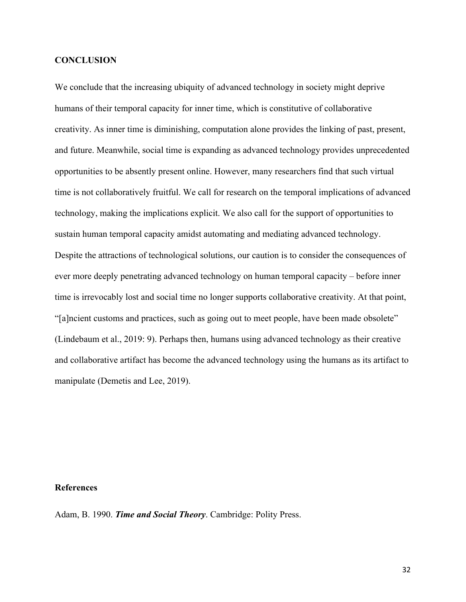## **CONCLUSION**

We conclude that the increasing ubiquity of advanced technology in society might deprive humans of their temporal capacity for inner time, which is constitutive of collaborative creativity. As inner time is diminishing, computation alone provides the linking of past, present, and future. Meanwhile, social time is expanding as advanced technology provides unprecedented opportunities to be absently present online. However, many researchers find that such virtual time is not collaboratively fruitful. We call for research on the temporal implications of advanced technology, making the implications explicit. We also call for the support of opportunities to sustain human temporal capacity amidst automating and mediating advanced technology. Despite the attractions of technological solutions, our caution is to consider the consequences of ever more deeply penetrating advanced technology on human temporal capacity – before inner time is irrevocably lost and social time no longer supports collaborative creativity. At that point, "[a]ncient customs and practices, such as going out to meet people, have been made obsolete" (Lindebaum et al., 2019: 9). Perhaps then, humans using advanced technology as their creative and collaborative artifact has become the advanced technology using the humans as its artifact to manipulate (Demetis and Lee, 2019).

## **References**

Adam, B. 1990. *Time and Social Theory*. Cambridge: Polity Press.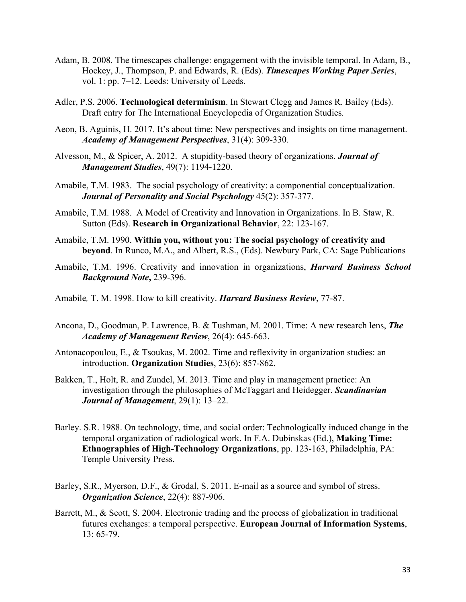- Adam, B. 2008. The timescapes challenge: engagement with the invisible temporal. In Adam, B., Hockey, J., Thompson, P. and Edwards, R. (Eds). *Timescapes Working Paper Series*, vol. 1: pp. 7–12. Leeds: University of Leeds.
- Adler, P.S. 2006. **Technological determinism**. In Stewart Clegg and James R. Bailey (Eds). Draft entry for The International Encyclopedia of Organization Studies*.*
- Aeon, B. Aguinis, H. 2017. It's about time: New perspectives and insights on time management. *Academy of Management Perspectives*, 31(4): 309-330.
- Alvesson, M., & Spicer, A. 2012. A stupidity‐based theory of organizations. *Journal of Management Studies*, 49(7): 1194-1220.
- Amabile, T.M. 1983. The social psychology of creativity: a componential conceptualization. *Journal of Personality and Social Psychology* 45(2): 357-377.
- Amabile, T.M. 1988. A Model of Creativity and Innovation in Organizations. In B. Staw, R. Sutton (Eds). **Research in Organizational Behavior**, 22: 123-167.
- Amabile, T.M. 1990. **Within you, without you: The social psychology of creativity and beyond**. In Runco, M.A., and Albert, R.S., (Eds). Newbury Park, CA: Sage Publications
- Amabile, T.M. 1996. Creativity and innovation in organizations, *Harvard Business School Background Note***,** 239-396.
- Amabile*,* T. M. 1998. How to kill creativity. *Harvard Business Review*, 77-87.
- Ancona, D., Goodman, P. Lawrence, B. & Tushman, M. 2001. Time: A new research lens, *The Academy of Management Review*, 26(4): 645-663.
- Antonacopoulou, E., & Tsoukas, M. 2002. Time and reflexivity in organization studies: an introduction. **Organization Studies**, 23(6): 857-862.
- Bakken, T., Holt, R. and Zundel, M. 2013. Time and play in management practice: An investigation through the philosophies of McTaggart and Heidegger. *Scandinavian Journal of Management*, 29(1): 13–22.
- Barley. S.R. 1988. On technology, time, and social order: Technologically induced change in the temporal organization of radiological work. In F.A. Dubinskas (Ed.), **Making Time: Ethnographies of High-Technology Organizations**, pp. 123-163, Philadelphia, PA: Temple University Press.
- Barley, S.R., Myerson, D.F., & Grodal, S. 2011. E-mail as a source and symbol of stress. *Organization Science*, 22(4): 887-906.
- Barrett, M., & Scott, S. 2004. Electronic trading and the process of globalization in traditional futures exchanges: a temporal perspective. **European Journal of Information Systems**, 13: 65-79.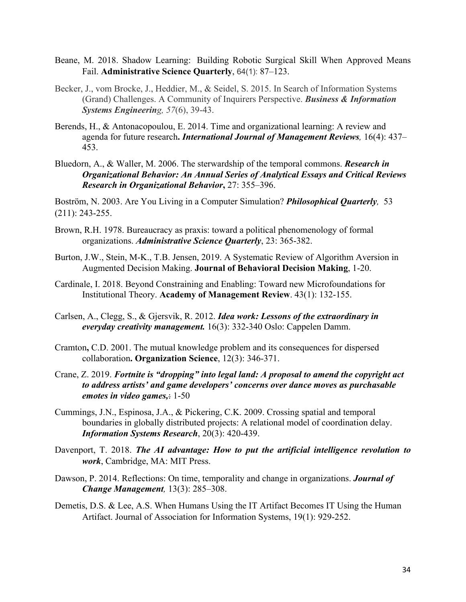- Beane, M. 2018. Shadow Learning: Building Robotic Surgical Skill When Approved Means Fail. **Administrative Science Quarterly**, 64(1): 87–123.
- Becker, J., vom Brocke, J., Heddier, M., & Seidel, S. 2015. In Search of Information Systems (Grand) Challenges. A Community of Inquirers Perspective. *Business & Information Systems Engineering, 57*(6), 39-43.
- Berends, H., & Antonacopoulou, E. 2014. Time and organizational learning: A review and agenda for future research**.** *International Journal of Management Reviews,* 16(4): 437– 453.
- Bluedorn, A., & Waller, M. 2006. The sterwardship of the temporal commons. *Research in Organizational Behavior: An Annual Series of Analytical Essays and Critical Reviews Research in Organizational Behavior***,** 27: 355–396.

Boström, N. 2003. Are You Living in a Computer Simulation? *Philosophical Quarterly,* 53 (211): 243-255.

- Brown, R.H. 1978. Bureaucracy as praxis: toward a political phenomenology of formal organizations. *Administrative Science Quarterly*, 23: 365-382.
- Burton, J.W., Stein, M-K., T.B. Jensen, 2019. A Systematic Review of Algorithm Aversion in Augmented Decision Making. **Journal of Behavioral Decision Making**, 1-20.
- Cardinale, I. 2018. Beyond Constraining and Enabling: Toward new Microfoundations for Institutional Theory. **Academy of Management Review**. 43(1): 132-155.
- Carlsen, A., Clegg, S., & Gjersvik, R. 2012. *Idea work: Lessons of the extraordinary in everyday creativity management.* 16(3): 332-340 Oslo: Cappelen Damm.
- Cramton**,** C.D. 2001. The mutual knowledge problem and its consequences for dispersed collaboration**. Organization Science**, 12(3): 346-371.
- Crane, Z. 2019. *Fortnite is "dropping" into legal land: A proposal to amend the copyright act to address artists' and game developers' concerns over dance moves as purchasable emotes in video games,*: 1-50
- Cummings, J.N., Espinosa, J.A., & Pickering, C.K. 2009. Crossing spatial and temporal boundaries in globally distributed projects: A relational model of coordination delay. *Information Systems Research*, 20(3): 420-439.
- Davenport, T. 2018. *The AI advantage: How to put the artificial intelligence revolution to work*, Cambridge, MA: MIT Press.
- Dawson, P. 2014. Reflections: On time, temporality and change in organizations. *Journal of Change Management,* 13(3): 285–308.
- Demetis, D.S. & Lee, A.S. When Humans Using the IT Artifact Becomes IT Using the Human Artifact. Journal of Association for Information Systems, 19(1): 929-252.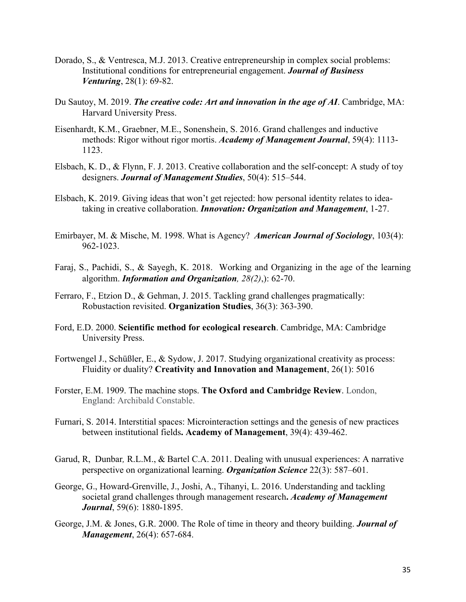- Dorado, S., & Ventresca, M.J. 2013. Creative entrepreneurship in complex social problems: Institutional conditions for entrepreneurial engagement. *Journal of Business Venturing*, 28(1): 69-82.
- Du Sautoy, M. 2019. *The creative code: Art and innovation in the age of AI*. Cambridge, MA: Harvard University Press.
- Eisenhardt, K.M., Graebner, M.E., Sonenshein, S. 2016. Grand challenges and inductive methods: Rigor without rigor mortis. *Academy of Management Journal*, 59(4): 1113- 1123.
- Elsbach, K. D., & Flynn, F. J. 2013. Creative collaboration and the self-concept: A study of toy designers. *Journal of Management Studies*, 50(4): 515–544.
- Elsbach, K. 2019. Giving ideas that won't get rejected: how personal identity relates to ideataking in creative collaboration. *Innovation: Organization and Management*, 1-27.
- Emirbayer, M. & Mische, M. 1998. What is Agency? *American Journal of Sociology*, 103(4): 962-1023.
- Faraj, S., Pachidi, S., & Sayegh, K. 2018. Working and Organizing in the age of the learning algorithm. *Information and Organization, 28(2)*,): 62-70.
- Ferraro, F., Etzion D., & Gehman, J. 2015. Tackling grand challenges pragmatically: Robustaction revisited. **Organization Studies**, 36(3): 363-390.
- Ford, E.D. 2000. **Scientific method for ecological research**. Cambridge, MA: Cambridge University Press.
- Fortwengel J., Schüßler, E., & Sydow, J. 2017. Studying organizational creativity as process: Fluidity or duality? **Creativity and Innovation and Management**, 26(1): 5016
- Forster, E.M. 1909. The machine stops. **The Oxford and Cambridge Review**. London, England: Archibald Constable.
- Furnari, S. 2014. Interstitial spaces: Microinteraction settings and the genesis of new practices between institutional fields**. Academy of Management**, 39(4): 439-462.
- Garud, R, Dunbar*,* R.L.M., & Bartel C.A. 2011. Dealing with unusual experiences: A narrative perspective on organizational learning. *Organization Science* 22(3): 587–601.
- George, G., Howard-Grenville, J., Joshi, A., Tihanyi, L. 2016. Understanding and tackling societal grand challenges through management research**.** *Academy of Management Journal*, 59(6): 1880-1895.
- George, J.M. & Jones, G.R. 2000. The Role of time in theory and theory building. *Journal of Management*, 26(4): 657-684.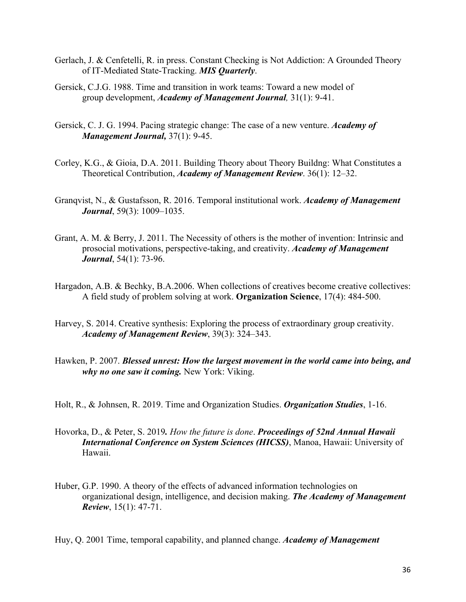- Gerlach, J. & Cenfetelli, R. in press. Constant Checking is Not Addiction: A Grounded Theory of IT-Mediated State-Tracking. *MIS Quarterly*.
- Gersick, C.J.G. 1988. Time and transition in work teams: Toward a new model of group development, *Academy of Management Journal,* 31(1): 9-41.
- Gersick, C. J. G. 1994. Pacing strategic change: The case of a new venture. *Academy of Management Journal,* 37(1): 9-45.
- Corley, K.G., & Gioia, D.A. 2011. Building Theory about Theory Buildng: What Constitutes a Theoretical Contribution, *Academy of Management Review*. 36(1): 12–32.
- Granqvist, N., & Gustafsson, R. 2016. Temporal institutional work. *Academy of Management Journal*, 59(3): 1009–1035.
- Grant, A. M. & Berry, J. 2011. The Necessity of others is the mother of invention: Intrinsic and prosocial motivations, perspective-taking, and creativity. *Academy of Management Journal*, 54(1): 73-96.
- Hargadon, A.B. & Bechky, B.A.2006. When collections of creatives become creative collectives: A field study of problem solving at work. **Organization Science**, 17(4): 484-500.
- Harvey, S. 2014. Creative synthesis: Exploring the process of extraordinary group creativity. *Academy of Management Review*, 39(3): 324–343.
- Hawken, P. 2007. *Blessed unrest: How the largest movement in the world came into being, and why no one saw it coming.* New York: Viking.
- Holt, R., & Johnsen, R. 2019. Time and Organization Studies. *Organization Studies*, 1-16.
- Hovorka, D., & Peter, S. 2019*. How the future is done*. *Proceedings of 52nd Annual Hawaii International Conference on System Sciences (HICSS)*, Manoa, Hawaii: University of Hawaii.
- Huber, G.P. 1990. A theory of the effects of advanced information technologies on organizational design, intelligence, and decision making. *The Academy of Management Review*, 15(1): 47-71.

Huy, Q. 2001 Time, temporal capability, and planned change. *Academy of Management*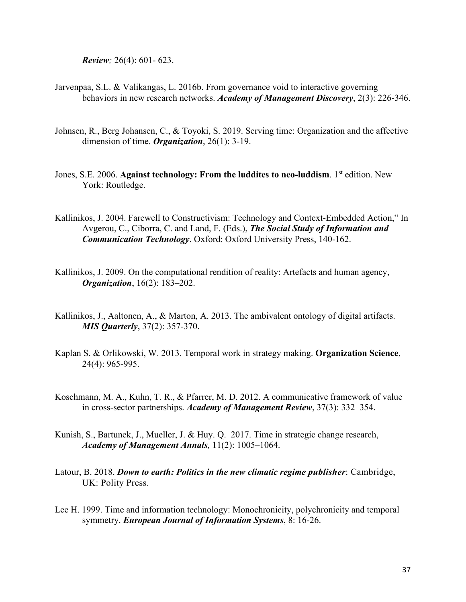*Review;* 26(4): 601- 623.

- Jarvenpaa, S.L. & Valikangas, L. 2016b. From governance void to interactive governing behaviors in new research networks. *Academy of Management Discovery*, 2(3): 226-346.
- Johnsen, R., Berg Johansen, C., & Toyoki, S. 2019. Serving time: Organization and the affective dimension of time. *Organization*, 26(1): 3-19.
- Jones, S.E. 2006. **Against technology: From the luddites to neo-luddism**. 1<sup>st</sup> edition. New York: Routledge.
- Kallinikos, J. 2004. Farewell to Constructivism: Technology and Context-Embedded Action," In Avgerou, C., Ciborra, C. and Land, F. (Eds.), *The Social Study of Information and Communication Technology*. Oxford: Oxford University Press, 140-162.
- Kallinikos, J. 2009. On the computational rendition of reality: Artefacts and human agency, *Organization*, 16(2): 183–202.
- Kallinikos, J., Aaltonen, A., & Marton, A. 2013. The ambivalent ontology of digital artifacts. *MIS Quarterly*, 37(2): 357-370.
- Kaplan S. & Orlikowski, W. 2013. Temporal work in strategy making. **Organization Science**, 24(4): 965-995.
- Koschmann, M. A., Kuhn, T. R., & Pfarrer, M. D. 2012. A communicative framework of value in cross-sector partnerships. *Academy of Management Review*, 37(3): 332–354.
- Kunish, S., Bartunek, J., Mueller, J. & Huy. Q. 2017. Time in strategic change research, *Academy of Management Annals,* 11(2): 1005–1064.
- Latour, B. 2018. *Down to earth: Politics in the new climatic regime publisher*: Cambridge, UK: Polity Press.
- Lee H. 1999. Time and information technology: Monochronicity, polychronicity and temporal symmetry. *European Journal of Information Systems*, 8: 16-26.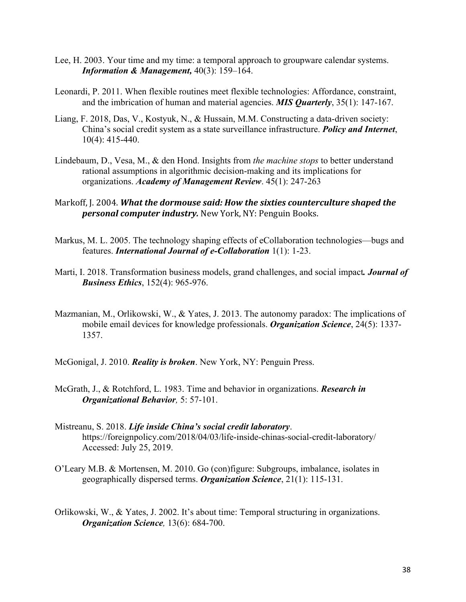- Lee, H. 2003. Your time and my time: a temporal approach to groupware calendar systems. *Information & Management,* 40(3): 159–164.
- Leonardi, P. 2011. When flexible routines meet flexible technologies: Affordance, constraint, and the imbrication of human and material agencies. *MIS Quarterly*, 35(1): 147-167.
- Liang, F. 2018, Das, V., Kostyuk, N., & Hussain, M.M. Constructing a data-driven society: China's social credit system as a state surveillance infrastructure. *Policy and Internet*, 10(4): 415-440.
- Lindebaum, D., Vesa, M., & den Hond. Insights from *the machine stops* to better understand rational assumptions in algorithmic decision-making and its implications for organizations. *Academy of Management Review*. 45(1): 247-263
- Markoff, J. 2004. What the dormouse said: How the sixties counterculture shaped the **personal computer industry.** New York, NY: Penguin Books.
- Markus, M. L. 2005. The technology shaping effects of eCollaboration technologies—bugs and features. *International Journal of e-Collaboration* 1(1): 1-23.
- Marti, I. 2018. Transformation business models, grand challenges, and social impact*. Journal of Business Ethics*, 152(4): 965-976.
- Mazmanian, M., Orlikowski, W., & Yates, J. 2013. The autonomy paradox: The implications of mobile email devices for knowledge professionals. *Organization Science*, 24(5): 1337- 1357.
- McGonigal, J. 2010. *Reality is broken*. New York, NY: Penguin Press.
- McGrath, J., & Rotchford, L. 1983. Time and behavior in organizations. *Research in Organizational Behavior,* 5: 57-101.
- Mistreanu, S. 2018. *Life inside China's social credit laboratory*. https://foreignpolicy.com/2018/04/03/life-inside-chinas-social-credit-laboratory/ Accessed: July 25, 2019.
- O'Leary M.B. & Mortensen, M. 2010. Go (con)figure: Subgroups, imbalance, isolates in geographically dispersed terms. *Organization Science*, 21(1): 115-131.
- Orlikowski, W., & Yates, J. 2002. It's about time: Temporal structuring in organizations. *Organization Science,* 13(6): 684-700.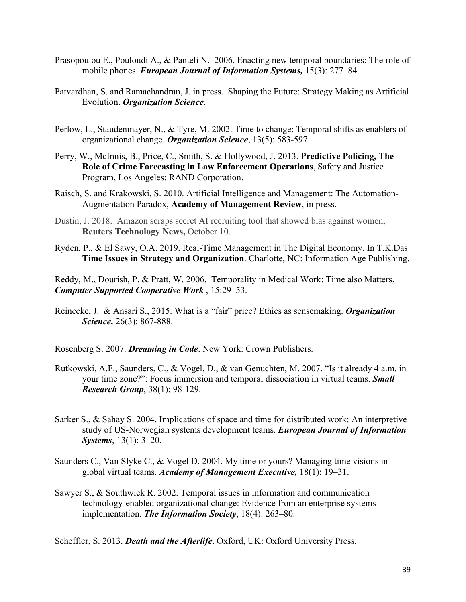- Prasopoulou E., Pouloudi A., & Panteli N. 2006. Enacting new temporal boundaries: The role of mobile phones. *European Journal of Information Systems,* 15(3): 277–84.
- Patvardhan, S. and Ramachandran, J. in press. Shaping the Future: Strategy Making as Artificial Evolution. *Organization Science*.
- Perlow, L., Staudenmayer, N., & Tyre, M. 2002. Time to change: Temporal shifts as enablers of organizational change. *Organization Science*, 13(5): 583-597.
- Perry, W., McInnis, B., Price, C., Smith, S. & Hollywood, J. 2013. **Predictive Policing, The Role of Crime Forecasting in Law Enforcement Operations**, Safety and Justice Program, Los Angeles: RAND Corporation.
- Raisch, S. and Krakowski, S. 2010. Artificial Intelligence and Management: The Automation-Augmentation Paradox, **Academy of Management Review**, in press.
- Dustin, J. 2018. Amazon scraps secret AI recruiting tool that showed bias against women, **Reuters Technology News,** October 10.
- Ryden, P., & El Sawy, O.A. 2019. Real-Time Management in The Digital Economy. In T.K.Das **Time Issues in Strategy and Organization**. Charlotte, NC: Information Age Publishing.

Reddy, M., Dourish, P. & Pratt, W. 2006. Temporality in Medical Work: Time also Matters, *Computer Supported Cooperative Work* , 15:29–53.

Reinecke, J. & Ansari S., 2015. What is a "fair" price? Ethics as sensemaking. *Organization Science,* 26(3): 867-888.

Rosenberg S. 2007. *Dreaming in Code*. New York: Crown Publishers.

- Rutkowski, A.F., Saunders, C., & Vogel, D., & van Genuchten, M. 2007. "Is it already 4 a.m. in your time zone?": Focus immersion and temporal dissociation in virtual teams. *Small Research Group*, 38(1): 98-129.
- Sarker S., & Sahay S. 2004. Implications of space and time for distributed work: An interpretive study of US-Norwegian systems development teams. *European Journal of Information Systems*, 13(1): 3–20.
- Saunders C., Van Slyke C., & Vogel D. 2004. My time or yours? Managing time visions in global virtual teams. *Academy of Management Executive,* 18(1): 19–31.
- Sawyer S., & Southwick R. 2002. Temporal issues in information and communication technology-enabled organizational change: Evidence from an enterprise systems implementation. *The Information Society*, 18(4): 263–80.

Scheffler, S. 2013. *Death and the Afterlife*. Oxford, UK: Oxford University Press.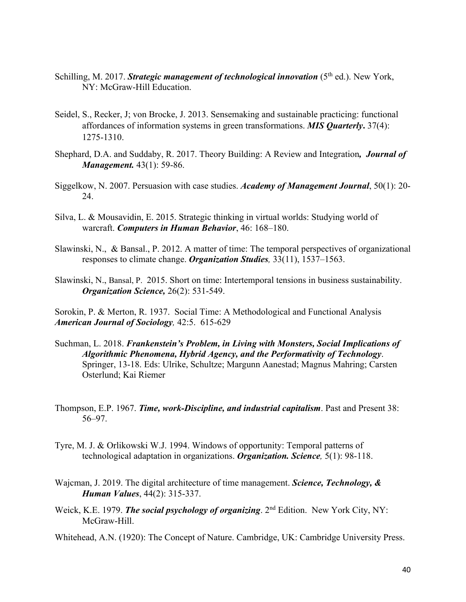- Schilling, M. 2017. *Strategic management of technological innovation* (5<sup>th</sup> ed.). New York, NY: McGraw-Hill Education.
- Seidel, S., Recker, J; von Brocke, J. 2013. Sensemaking and sustainable practicing: functional affordances of information systems in green transformations. *MIS Quarterly***.** 37(4): 1275-1310.
- Shephard, D.A. and Suddaby, R. 2017. Theory Building: A Review and Integration*, Journal of Management.* 43(1): 59-86.
- Siggelkow, N. 2007. Persuasion with case studies. *Academy of Management Journal*, 50(1): 20- 24.
- Silva, L. & Mousavidin, E. 2015. Strategic thinking in virtual worlds: Studying world of warcraft. *Computers in Human Behavior*, 46: 168–180.
- Slawinski, N., & Bansal., P. 2012. A matter of time: The temporal perspectives of organizational responses to climate change. *Organization Studies,* 33(11), 1537–1563.
- Slawinski, N., Bansal, P. 2015. Short on time: Intertemporal tensions in business sustainability. *Organization Science,* 26(2): 531-549.

Sorokin, P. & Merton, R. 1937. Social Time: A Methodological and Functional Analysis *American Journal of Sociology,* 42:5. 615-629

- Suchman, L. 2018. *Frankenstein's Problem, in Living with Monsters, Social Implications of Algorithmic Phenomena, Hybrid Agency, and the Performativity of Technology*. Springer, 13-18. Eds: Ulrike, Schultze; Margunn Aanestad; Magnus Mahring; Carsten Osterlund; Kai Riemer
- Thompson, E.P. 1967. *Time, work-Discipline, and industrial capitalism*. Past and Present 38: 56–97.
- Tyre, M. J. & Orlikowski W.J. 1994. Windows of opportunity: Temporal patterns of technological adaptation in organizations. *Organization. Science,* 5(1): 98-118.
- Wajcman, J. 2019. The digital architecture of time management. *Science, Technology, & Human Values*, 44(2): 315-337.
- Weick, K.E. 1979. *The social psychology of organizing*. 2nd Edition. New York City, NY: McGraw-Hill.

Whitehead, A.N. (1920): The Concept of Nature. Cambridge, UK: Cambridge University Press.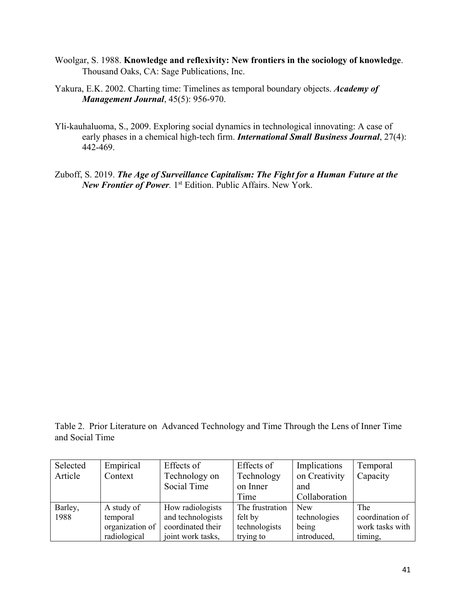- Woolgar, S. 1988. **Knowledge and reflexivity: New frontiers in the sociology of knowledge**. Thousand Oaks, CA: Sage Publications, Inc.
- Yakura, E.K. 2002. Charting time: Timelines as temporal boundary objects. *Academy of Management Journal*, 45(5): 956-970.
- Yli-kauhaluoma, S., 2009. Exploring social dynamics in technological innovating: A case of early phases in a chemical high-tech firm. *International Small Business Journal*, 27(4): 442-469.
- Zuboff, S. 2019. *The Age of Surveillance Capitalism: The Fight for a Human Future at the New Frontier of Power.* 1st Edition. Public Affairs. New York.

Table 2. Prior Literature on Advanced Technology and Time Through the Lens of Inner Time and Social Time

| Selected | Empirical       | Effects of        | Effects of      | Implications  | Temporal        |
|----------|-----------------|-------------------|-----------------|---------------|-----------------|
| Article  | Context         | Technology on     | Technology      | on Creativity | Capacity        |
|          |                 | Social Time       | on Inner        | and           |                 |
|          |                 |                   | Time            | Collaboration |                 |
| Barley,  | A study of      | How radiologists  | The frustration | <b>New</b>    | The             |
| 1988     | temporal        | and technologists | felt by         | technologies  | coordination of |
|          | organization of | coordinated their | technologists   | being         | work tasks with |
|          | radiological    | joint work tasks, | trying to       | introduced,   | timing,         |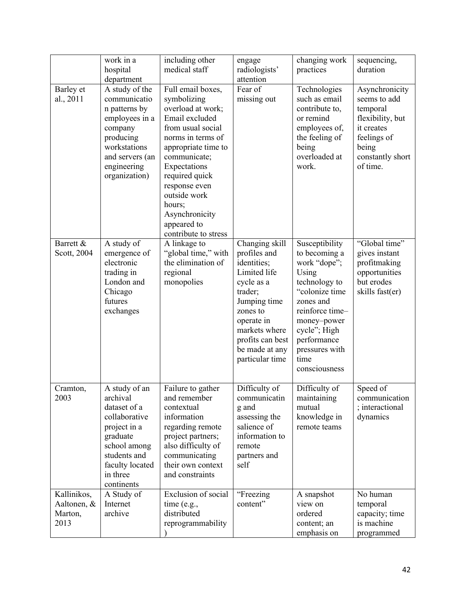|                                               | work in a<br>hospital<br>department                                                                                                                                 | including other<br>medical staff                                                                                                                                                                                                                                                               | engage<br>radiologists'<br>attention                                                                                                                                                                       | changing work<br>practices                                                                                                                                                                                           | sequencing,<br>duration                                                                                                              |
|-----------------------------------------------|---------------------------------------------------------------------------------------------------------------------------------------------------------------------|------------------------------------------------------------------------------------------------------------------------------------------------------------------------------------------------------------------------------------------------------------------------------------------------|------------------------------------------------------------------------------------------------------------------------------------------------------------------------------------------------------------|----------------------------------------------------------------------------------------------------------------------------------------------------------------------------------------------------------------------|--------------------------------------------------------------------------------------------------------------------------------------|
| Barley et<br>al., 2011                        | A study of the<br>communicatio<br>n patterns by<br>employees in a<br>company<br>producing<br>workstations<br>and servers (an<br>engineering<br>organization)        | Full email boxes,<br>symbolizing<br>overload at work;<br>Email excluded<br>from usual social<br>norms in terms of<br>appropriate time to<br>communicate;<br>Expectations<br>required quick<br>response even<br>outside work<br>hours;<br>Asynchronicity<br>appeared to<br>contribute to stress | Fear of<br>missing out                                                                                                                                                                                     | Technologies<br>such as email<br>contribute to,<br>or remind<br>employees of,<br>the feeling of<br>being<br>overloaded at<br>work.                                                                                   | Asynchronicity<br>seems to add<br>temporal<br>flexibility, but<br>it creates<br>feelings of<br>being<br>constantly short<br>of time. |
| Barrett &<br>Scott, 2004                      | A study of<br>emergence of<br>electronic<br>trading in<br>London and<br>Chicago<br>futures<br>exchanges                                                             | A linkage to<br>"global time," with<br>the elimination of<br>regional<br>monopolies                                                                                                                                                                                                            | Changing skill<br>profiles and<br>identities;<br>Limited life<br>cycle as a<br>trader;<br>Jumping time<br>zones to<br>operate in<br>markets where<br>profits can best<br>be made at any<br>particular time | Susceptibility<br>to becoming a<br>work "dope";<br>Using<br>technology to<br>"colonize time<br>zones and<br>reinforce time-<br>money-power<br>cycle"; High<br>performance<br>pressures with<br>time<br>consciousness | "Global time"<br>gives instant<br>profitmaking<br>opportunities<br>but erodes<br>skills fast(er)                                     |
| Cramton,<br>2003                              | A study of an<br>archival<br>dataset of a<br>collaborative<br>project in a<br>graduate<br>school among<br>students and<br>faculty located<br>in three<br>continents | Failure to gather<br>and remember<br>contextual<br>information<br>regarding remote<br>project partners;<br>also difficulty of<br>communicating<br>their own context<br>and constraints                                                                                                         | Difficulty of<br>communicatin<br>g and<br>assessing the<br>salience of<br>information to<br>remote<br>partners and<br>self                                                                                 | Difficulty of<br>maintaining<br>mutual<br>knowledge in<br>remote teams                                                                                                                                               | Speed of<br>communication<br>; interactional<br>dynamics                                                                             |
| Kallinikos,<br>Aaltonen, &<br>Marton,<br>2013 | A Study of<br>Internet<br>archive                                                                                                                                   | Exclusion of social<br>time (e.g.,<br>distributed<br>reprogrammability                                                                                                                                                                                                                         | "Freezing<br>content"                                                                                                                                                                                      | A snapshot<br>view on<br>ordered<br>content; an<br>emphasis on                                                                                                                                                       | No human<br>temporal<br>capacity; time<br>is machine<br>programmed                                                                   |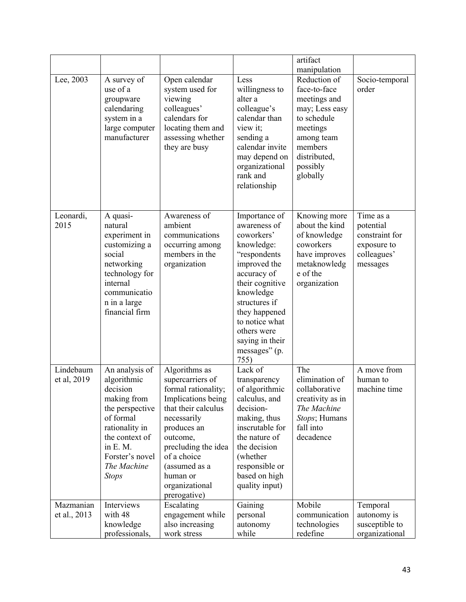|                           |                                                                                                                                                                                            |                                                                                                                                                                                                                                                      |                                                                                                                                                                                                                                                         | artifact<br>manipulation                                                                                                                                   |                                                                                    |
|---------------------------|--------------------------------------------------------------------------------------------------------------------------------------------------------------------------------------------|------------------------------------------------------------------------------------------------------------------------------------------------------------------------------------------------------------------------------------------------------|---------------------------------------------------------------------------------------------------------------------------------------------------------------------------------------------------------------------------------------------------------|------------------------------------------------------------------------------------------------------------------------------------------------------------|------------------------------------------------------------------------------------|
| Lee, 2003                 | A survey of<br>use of a<br>groupware<br>calendaring<br>system in a<br>large computer<br>manufacturer                                                                                       | Open calendar<br>system used for<br>viewing<br>colleagues'<br>calendars for<br>locating them and<br>assessing whether<br>they are busy                                                                                                               | Less<br>willingness to<br>alter a<br>colleague's<br>calendar than<br>view it;<br>sending a<br>calendar invite<br>may depend on<br>organizational<br>rank and<br>relationship                                                                            | Reduction of<br>face-to-face<br>meetings and<br>may; Less easy<br>to schedule<br>meetings<br>among team<br>members<br>distributed,<br>possibly<br>globally | Socio-temporal<br>order                                                            |
| Leonardi,<br>2015         | A quasi-<br>natural<br>experiment in<br>customizing a<br>social<br>networking<br>technology for<br>internal<br>communicatio<br>n in a large<br>financial firm                              | Awareness of<br>ambient<br>communications<br>occurring among<br>members in the<br>organization                                                                                                                                                       | Importance of<br>awareness of<br>coworkers'<br>knowledge:<br>"respondents<br>improved the<br>accuracy of<br>their cognitive<br>knowledge<br>structures if<br>they happened<br>to notice what<br>others were<br>saying in their<br>messages" (p.<br>755) | Knowing more<br>about the kind<br>of knowledge<br>coworkers<br>have improves<br>metaknowledg<br>e of the<br>organization                                   | Time as a<br>potential<br>constraint for<br>exposure to<br>colleagues'<br>messages |
| Lindebaum<br>et al, 2019  | An analysis of<br>algorithmic<br>decision<br>making from<br>the perspective<br>of formal<br>rationality in<br>the context of<br>in E. M.<br>Forster's novel<br>The Machine<br><b>Stops</b> | Algorithms as<br>supercarriers of<br>formal rationality;<br>Implications being<br>that their calculus<br>necessarily<br>produces an<br>outcome,<br>precluding the idea<br>of a choice<br>(assumed as a<br>human or<br>organizational<br>prerogative) | Lack of<br>transparency<br>of algorithmic<br>calculus, and<br>decision-<br>making, thus<br>inscrutable for<br>the nature of<br>the decision<br>(whether<br>responsible or<br>based on high<br>quality input)                                            | The<br>elimination of<br>collaborative<br>creativity as in<br>The Machine<br>Stops; Humans<br>fall into<br>decadence                                       | A move from<br>human to<br>machine time                                            |
| Mazmanian<br>et al., 2013 | Interviews<br>with 48<br>knowledge<br>professionals,                                                                                                                                       | Escalating<br>engagement while<br>also increasing<br>work stress                                                                                                                                                                                     | Gaining<br>personal<br>autonomy<br>while                                                                                                                                                                                                                | Mobile<br>communication<br>technologies<br>redefine                                                                                                        | Temporal<br>autonomy is<br>susceptible to<br>organizational                        |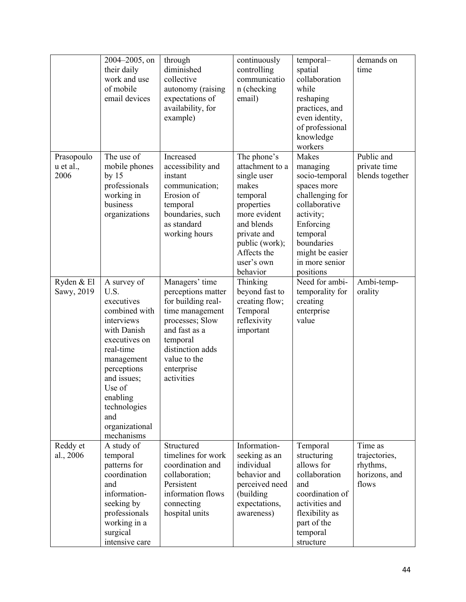|                                 | 2004-2005, on<br>their daily<br>work and use<br>of mobile<br>email devices                                                                                                                                                             | through<br>diminished<br>collective<br>autonomy (raising<br>expectations of<br>availability, for<br>example)                                                                                  | continuously<br>controlling<br>communicatio<br>n (checking<br>email)                                                                                                                     | temporal-<br>spatial<br>collaboration<br>while<br>reshaping<br>practices, and<br>even identity,<br>of professional<br>knowledge<br>workers                                                   | demands on<br>time                                             |
|---------------------------------|----------------------------------------------------------------------------------------------------------------------------------------------------------------------------------------------------------------------------------------|-----------------------------------------------------------------------------------------------------------------------------------------------------------------------------------------------|------------------------------------------------------------------------------------------------------------------------------------------------------------------------------------------|----------------------------------------------------------------------------------------------------------------------------------------------------------------------------------------------|----------------------------------------------------------------|
| Prasopoulo<br>u et al.,<br>2006 | The use of<br>mobile phones<br>by $15$<br>professionals<br>working in<br>business<br>organizations                                                                                                                                     | Increased<br>accessibility and<br>instant<br>communication;<br>Erosion of<br>temporal<br>boundaries, such<br>as standard<br>working hours                                                     | The phone's<br>attachment to a<br>single user<br>makes<br>temporal<br>properties<br>more evident<br>and blends<br>private and<br>public (work);<br>Affects the<br>user's own<br>behavior | Makes<br>managing<br>socio-temporal<br>spaces more<br>challenging for<br>collaborative<br>activity;<br>Enforcing<br>temporal<br>boundaries<br>might be easier<br>in more senior<br>positions | Public and<br>private time<br>blends together                  |
| Ryden & El<br>Sawy, 2019        | A survey of<br>U.S.<br>executives<br>combined with<br>interviews<br>with Danish<br>executives on<br>real-time<br>management<br>perceptions<br>and issues;<br>Use of<br>enabling<br>technologies<br>and<br>organizational<br>mechanisms | Managers' time<br>perceptions matter<br>for building real-<br>time management<br>processes; Slow<br>and fast as a<br>temporal<br>distinction adds<br>value to the<br>enterprise<br>activities | Thinking<br>beyond fast to<br>creating flow;<br>Temporal<br>reflexivity<br>important                                                                                                     | Need for ambi-<br>temporality for<br>creating<br>enterprise<br>value                                                                                                                         | Ambi-temp-<br>orality                                          |
| Reddy et<br>al., 2006           | A study of<br>temporal<br>patterns for<br>coordination<br>and<br>information-<br>seeking by<br>professionals<br>working in a<br>surgical<br>intensive care                                                                             | Structured<br>timelines for work<br>coordination and<br>collaboration;<br>Persistent<br>information flows<br>connecting<br>hospital units                                                     | Information-<br>seeking as an<br>individual<br>behavior and<br>perceived need<br>(building<br>expectations,<br>awareness)                                                                | Temporal<br>structuring<br>allows for<br>collaboration<br>and<br>coordination of<br>activities and<br>flexibility as<br>part of the<br>temporal<br>structure                                 | Time as<br>trajectories,<br>rhythms,<br>horizons, and<br>flows |